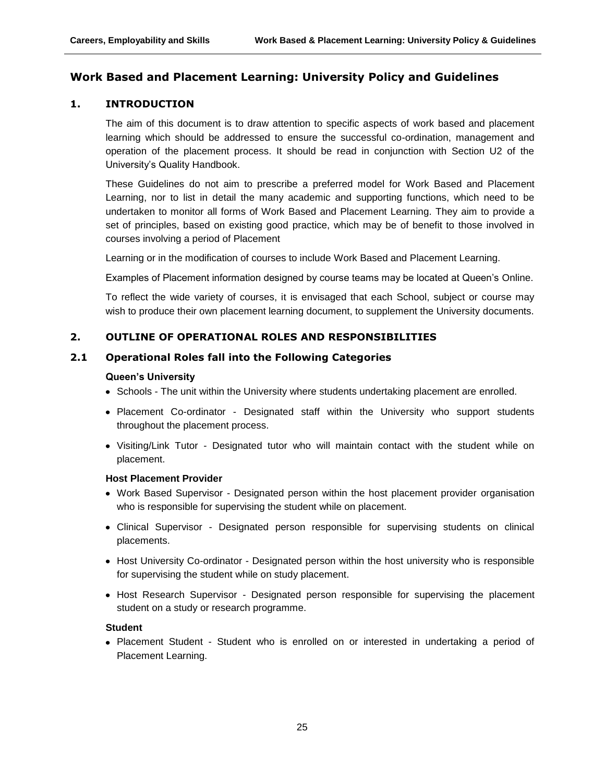# **Work Based and Placement Learning: University Policy and Guidelines**

# **1. INTRODUCTION**

The aim of this document is to draw attention to specific aspects of work based and placement learning which should be addressed to ensure the successful co-ordination, management and operation of the placement process. It should be read in conjunction with Section U2 of the University's Quality Handbook.

These Guidelines do not aim to prescribe a preferred model for Work Based and Placement Learning, nor to list in detail the many academic and supporting functions, which need to be undertaken to monitor all forms of Work Based and Placement Learning. They aim to provide a set of principles, based on existing good practice, which may be of benefit to those involved in courses involving a period of Placement

Learning or in the modification of courses to include Work Based and Placement Learning.

Examples of Placement information designed by course teams may be located at Queen's Online.

To reflect the wide variety of courses, it is envisaged that each School, subject or course may wish to produce their own placement learning document, to supplement the University documents.

# **2. OUTLINE OF OPERATIONAL ROLES AND RESPONSIBILITIES**

#### **2.1 Operational Roles fall into the Following Categories**

#### **Queen's University**

- Schools The unit within the University where students undertaking placement are enrolled.
- Placement Co-ordinator Designated staff within the University who support students throughout the placement process.
- Visiting/Link Tutor Designated tutor who will maintain contact with the student while on placement.

#### **Host Placement Provider**

- Work Based Supervisor Designated person within the host placement provider organisation who is responsible for supervising the student while on placement.
- Clinical Supervisor Designated person responsible for supervising students on clinical placements.
- Host University Co-ordinator Designated person within the host university who is responsible for supervising the student while on study placement.
- Host Research Supervisor Designated person responsible for supervising the placement student on a study or research programme.

#### **Student**

Placement Student - Student who is enrolled on or interested in undertaking a period of Placement Learning.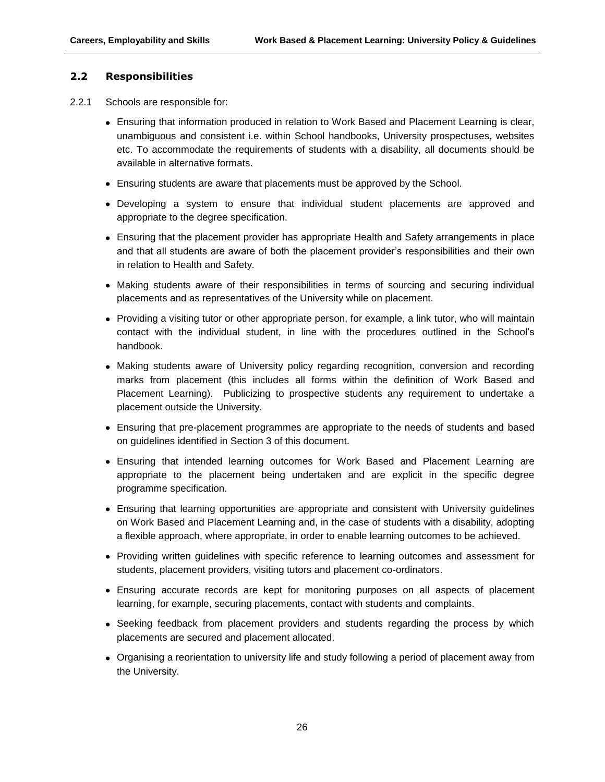## **2.2 Responsibilities**

- 2.2.1 Schools are responsible for:
	- Ensuring that information produced in relation to Work Based and Placement Learning is clear, unambiguous and consistent i.e. within School handbooks, University prospectuses, websites etc. To accommodate the requirements of students with a disability, all documents should be available in alternative formats.
	- Ensuring students are aware that placements must be approved by the School.
	- Developing a system to ensure that individual student placements are approved and appropriate to the degree specification.
	- Ensuring that the placement provider has appropriate Health and Safety arrangements in place and that all students are aware of both the placement provider's responsibilities and their own in relation to Health and Safety.
	- Making students aware of their responsibilities in terms of sourcing and securing individual placements and as representatives of the University while on placement.
	- Providing a visiting tutor or other appropriate person, for example, a link tutor, who will maintain contact with the individual student, in line with the procedures outlined in the School's handbook.
	- Making students aware of University policy regarding recognition, conversion and recording marks from placement (this includes all forms within the definition of Work Based and Placement Learning). Publicizing to prospective students any requirement to undertake a placement outside the University.
	- Ensuring that pre-placement programmes are appropriate to the needs of students and based on guidelines identified in Section 3 of this document.
	- Ensuring that intended learning outcomes for Work Based and Placement Learning are appropriate to the placement being undertaken and are explicit in the specific degree programme specification.
	- Ensuring that learning opportunities are appropriate and consistent with University guidelines on Work Based and Placement Learning and, in the case of students with a disability, adopting a flexible approach, where appropriate, in order to enable learning outcomes to be achieved.
	- Providing written guidelines with specific reference to learning outcomes and assessment for students, placement providers, visiting tutors and placement co-ordinators.
	- Ensuring accurate records are kept for monitoring purposes on all aspects of placement learning, for example, securing placements, contact with students and complaints.
	- Seeking feedback from placement providers and students regarding the process by which placements are secured and placement allocated.
	- Organising a reorientation to university life and study following a period of placement away from the University.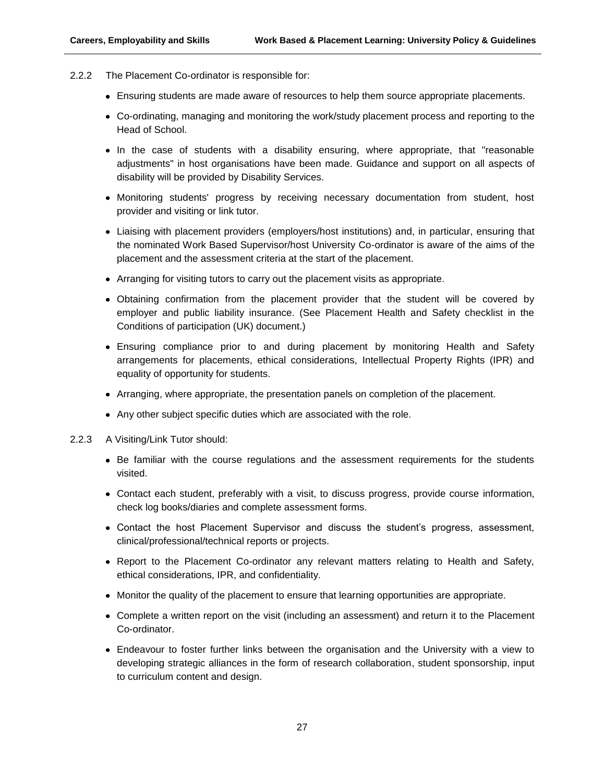- 2.2.2 The Placement Co-ordinator is responsible for:
	- Ensuring students are made aware of resources to help them source appropriate placements.
	- Co-ordinating, managing and monitoring the work/study placement process and reporting to the Head of School.
	- In the case of students with a disability ensuring, where appropriate, that "reasonable adjustments" in host organisations have been made. Guidance and support on all aspects of disability will be provided by Disability Services.
	- Monitoring students' progress by receiving necessary documentation from student, host provider and visiting or link tutor.
	- Liaising with placement providers (employers/host institutions) and, in particular, ensuring that the nominated Work Based Supervisor/host University Co-ordinator is aware of the aims of the placement and the assessment criteria at the start of the placement.
	- Arranging for visiting tutors to carry out the placement visits as appropriate.
	- Obtaining confirmation from the placement provider that the student will be covered by employer and public liability insurance. (See Placement Health and Safety checklist in the Conditions of participation (UK) document.)
	- Ensuring compliance prior to and during placement by monitoring Health and Safety arrangements for placements, ethical considerations, Intellectual Property Rights (IPR) and equality of opportunity for students.
	- Arranging, where appropriate, the presentation panels on completion of the placement.
	- Any other subject specific duties which are associated with the role.
- 2.2.3 A Visiting/Link Tutor should:
	- Be familiar with the course regulations and the assessment requirements for the students visited.
	- Contact each student, preferably with a visit, to discuss progress, provide course information, check log books/diaries and complete assessment forms.
	- Contact the host Placement Supervisor and discuss the student's progress, assessment, clinical/professional/technical reports or projects.
	- Report to the Placement Co-ordinator any relevant matters relating to Health and Safety, ethical considerations, IPR, and confidentiality.
	- Monitor the quality of the placement to ensure that learning opportunities are appropriate.
	- Complete a written report on the visit (including an assessment) and return it to the Placement Co-ordinator.
	- Endeavour to foster further links between the organisation and the University with a view to developing strategic alliances in the form of research collaboration, student sponsorship, input to curriculum content and design.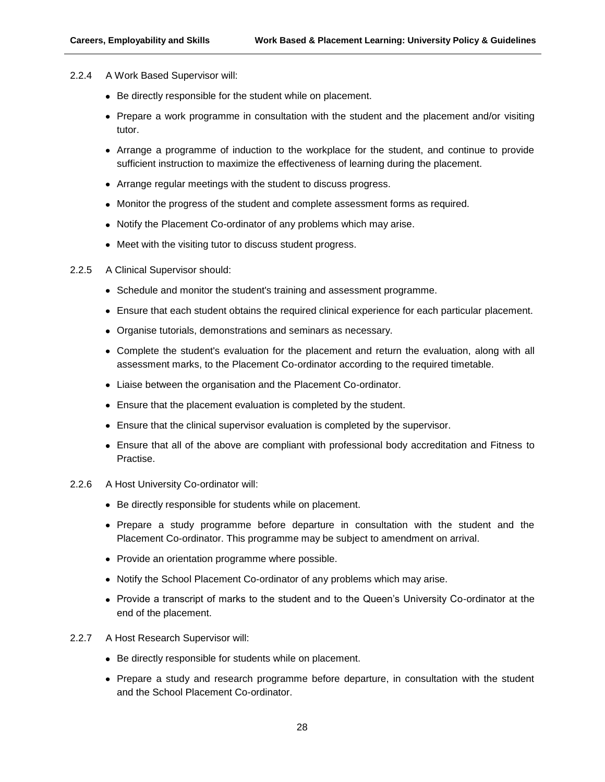- 2.2.4 A Work Based Supervisor will:
	- Be directly responsible for the student while on placement.
	- Prepare a work programme in consultation with the student and the placement and/or visiting tutor.
	- Arrange a programme of induction to the workplace for the student, and continue to provide sufficient instruction to maximize the effectiveness of learning during the placement.
	- Arrange regular meetings with the student to discuss progress.
	- Monitor the progress of the student and complete assessment forms as required.
	- Notify the Placement Co-ordinator of any problems which may arise.
	- Meet with the visiting tutor to discuss student progress.
- 2.2.5 A Clinical Supervisor should:
	- Schedule and monitor the student's training and assessment programme.
	- Ensure that each student obtains the required clinical experience for each particular placement.
	- Organise tutorials, demonstrations and seminars as necessary.
	- Complete the student's evaluation for the placement and return the evaluation, along with all assessment marks, to the Placement Co-ordinator according to the required timetable.
	- Liaise between the organisation and the Placement Co-ordinator.
	- Ensure that the placement evaluation is completed by the student.
	- Ensure that the clinical supervisor evaluation is completed by the supervisor.
	- Ensure that all of the above are compliant with professional body accreditation and Fitness to Practise.
- 2.2.6 A Host University Co-ordinator will:
	- Be directly responsible for students while on placement.
	- Prepare a study programme before departure in consultation with the student and the Placement Co-ordinator. This programme may be subject to amendment on arrival.
	- Provide an orientation programme where possible.
	- Notify the School Placement Co-ordinator of any problems which may arise.
	- Provide a transcript of marks to the student and to the Queen's University Co-ordinator at the end of the placement.
- 2.2.7 A Host Research Supervisor will:
	- Be directly responsible for students while on placement.
	- Prepare a study and research programme before departure, in consultation with the student and the School Placement Co-ordinator.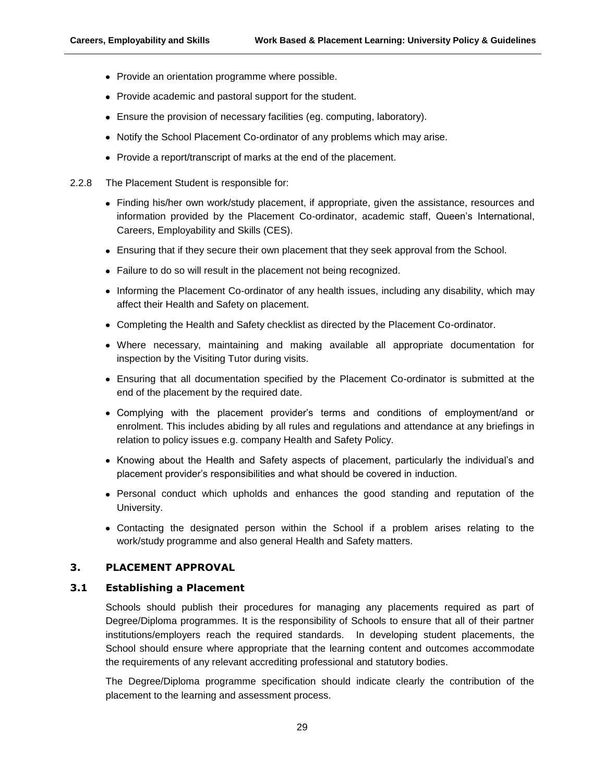- Provide an orientation programme where possible.
- Provide academic and pastoral support for the student.
- Ensure the provision of necessary facilities (eg. computing, laboratory).
- Notify the School Placement Co-ordinator of any problems which may arise.
- Provide a report/transcript of marks at the end of the placement.
- 2.2.8 The Placement Student is responsible for:
	- Finding his/her own work/study placement, if appropriate, given the assistance, resources and information provided by the Placement Co-ordinator, academic staff, Queen's International, Careers, Employability and Skills (CES).
	- Ensuring that if they secure their own placement that they seek approval from the School.
	- Failure to do so will result in the placement not being recognized.
	- Informing the Placement Co-ordinator of any health issues, including any disability, which may affect their Health and Safety on placement.
	- Completing the Health and Safety checklist as directed by the Placement Co-ordinator.
	- Where necessary, maintaining and making available all appropriate documentation for inspection by the Visiting Tutor during visits.
	- Ensuring that all documentation specified by the Placement Co-ordinator is submitted at the end of the placement by the required date.
	- Complying with the placement provider's terms and conditions of employment/and or enrolment. This includes abiding by all rules and regulations and attendance at any briefings in relation to policy issues e.g. company Health and Safety Policy.
	- Knowing about the Health and Safety aspects of placement, particularly the individual's and placement provider's responsibilities and what should be covered in induction.
	- Personal conduct which upholds and enhances the good standing and reputation of the University.
	- Contacting the designated person within the School if a problem arises relating to the work/study programme and also general Health and Safety matters.

# **3. PLACEMENT APPROVAL**

#### **3.1 Establishing a Placement**

Schools should publish their procedures for managing any placements required as part of Degree/Diploma programmes. It is the responsibility of Schools to ensure that all of their partner institutions/employers reach the required standards. In developing student placements, the School should ensure where appropriate that the learning content and outcomes accommodate the requirements of any relevant accrediting professional and statutory bodies.

The Degree/Diploma programme specification should indicate clearly the contribution of the placement to the learning and assessment process.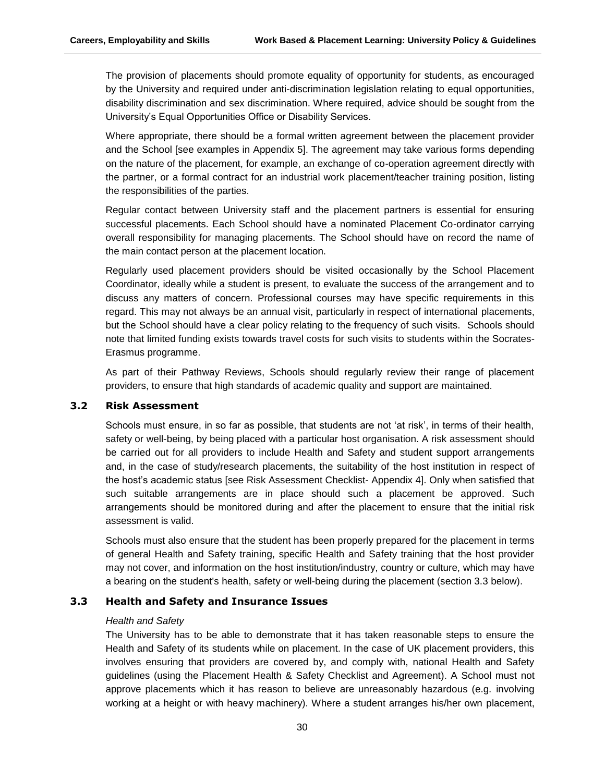The provision of placements should promote equality of opportunity for students, as encouraged by the University and required under anti-discrimination legislation relating to equal opportunities, disability discrimination and sex discrimination. Where required, advice should be sought from the University's Equal Opportunities Office or Disability Services.

Where appropriate, there should be a formal written agreement between the placement provider and the School [see examples in Appendix 5]. The agreement may take various forms depending on the nature of the placement, for example, an exchange of co-operation agreement directly with the partner, or a formal contract for an industrial work placement/teacher training position, listing the responsibilities of the parties.

Regular contact between University staff and the placement partners is essential for ensuring successful placements. Each School should have a nominated Placement Co-ordinator carrying overall responsibility for managing placements. The School should have on record the name of the main contact person at the placement location.

Regularly used placement providers should be visited occasionally by the School Placement Coordinator, ideally while a student is present, to evaluate the success of the arrangement and to discuss any matters of concern. Professional courses may have specific requirements in this regard. This may not always be an annual visit, particularly in respect of international placements, but the School should have a clear policy relating to the frequency of such visits. Schools should note that limited funding exists towards travel costs for such visits to students within the Socrates-Erasmus programme.

As part of their Pathway Reviews, Schools should regularly review their range of placement providers, to ensure that high standards of academic quality and support are maintained.

#### **3.2 Risk Assessment**

Schools must ensure, in so far as possible, that students are not 'at risk', in terms of their health, safety or well-being, by being placed with a particular host organisation. A risk assessment should be carried out for all providers to include Health and Safety and student support arrangements and, in the case of study/research placements, the suitability of the host institution in respect of the host's academic status [see Risk Assessment Checklist- Appendix 4]. Only when satisfied that such suitable arrangements are in place should such a placement be approved. Such arrangements should be monitored during and after the placement to ensure that the initial risk assessment is valid.

Schools must also ensure that the student has been properly prepared for the placement in terms of general Health and Safety training, specific Health and Safety training that the host provider may not cover, and information on the host institution/industry, country or culture, which may have a bearing on the student's health, safety or well-being during the placement (section 3.3 below).

# **3.3 Health and Safety and Insurance Issues**

#### *Health and Safety*

The University has to be able to demonstrate that it has taken reasonable steps to ensure the Health and Safety of its students while on placement. In the case of UK placement providers, this involves ensuring that providers are covered by, and comply with, national Health and Safety guidelines (using the Placement Health & Safety Checklist and Agreement). A School must not approve placements which it has reason to believe are unreasonably hazardous (e.g. involving working at a height or with heavy machinery). Where a student arranges his/her own placement,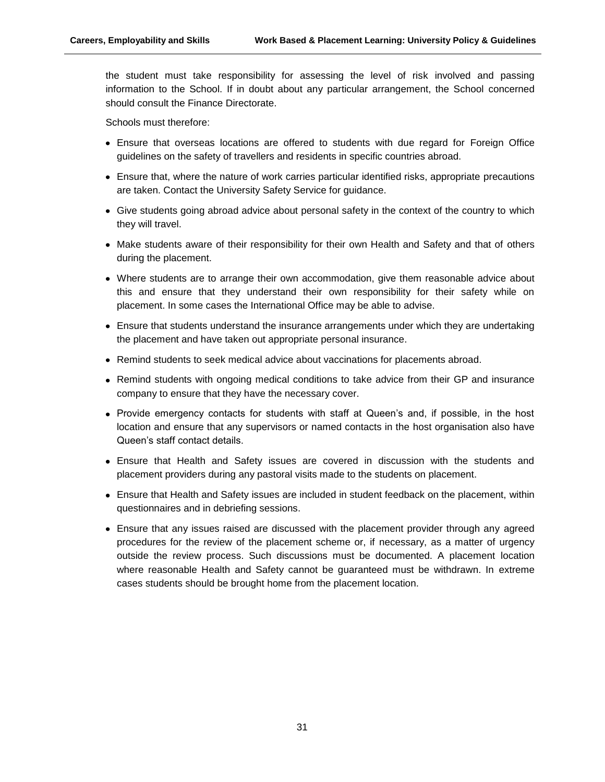the student must take responsibility for assessing the level of risk involved and passing information to the School. If in doubt about any particular arrangement, the School concerned should consult the Finance Directorate.

Schools must therefore:

- Ensure that overseas locations are offered to students with due regard for Foreign Office guidelines on the safety of travellers and residents in specific countries abroad.
- Ensure that, where the nature of work carries particular identified risks, appropriate precautions are taken. Contact the University Safety Service for guidance.
- Give students going abroad advice about personal safety in the context of the country to which they will travel.
- Make students aware of their responsibility for their own Health and Safety and that of others during the placement.
- Where students are to arrange their own accommodation, give them reasonable advice about this and ensure that they understand their own responsibility for their safety while on placement. In some cases the International Office may be able to advise.
- Ensure that students understand the insurance arrangements under which they are undertaking the placement and have taken out appropriate personal insurance.
- Remind students to seek medical advice about vaccinations for placements abroad.
- Remind students with ongoing medical conditions to take advice from their GP and insurance company to ensure that they have the necessary cover.
- Provide emergency contacts for students with staff at Queen's and, if possible, in the host location and ensure that any supervisors or named contacts in the host organisation also have Queen's staff contact details.
- Ensure that Health and Safety issues are covered in discussion with the students and placement providers during any pastoral visits made to the students on placement.
- Ensure that Health and Safety issues are included in student feedback on the placement, within questionnaires and in debriefing sessions.
- Ensure that any issues raised are discussed with the placement provider through any agreed procedures for the review of the placement scheme or, if necessary, as a matter of urgency outside the review process. Such discussions must be documented. A placement location where reasonable Health and Safety cannot be guaranteed must be withdrawn. In extreme cases students should be brought home from the placement location.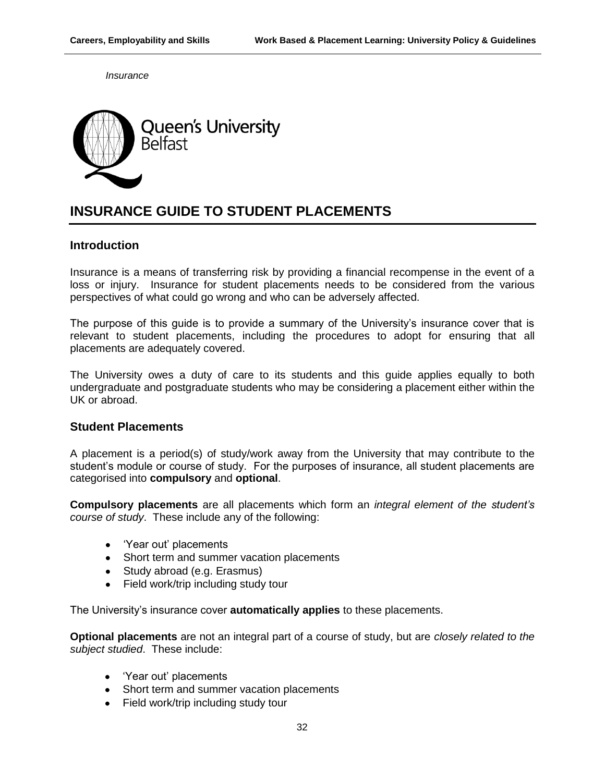*Insurance*



# **INSURANCE GUIDE TO STUDENT PLACEMENTS**

# **Introduction**

Insurance is a means of transferring risk by providing a financial recompense in the event of a loss or injury. Insurance for student placements needs to be considered from the various perspectives of what could go wrong and who can be adversely affected.

The purpose of this guide is to provide a summary of the University's insurance cover that is relevant to student placements, including the procedures to adopt for ensuring that all placements are adequately covered.

The University owes a duty of care to its students and this guide applies equally to both undergraduate and postgraduate students who may be considering a placement either within the UK or abroad.

# **Student Placements**

A placement is a period(s) of study/work away from the University that may contribute to the student's module or course of study. For the purposes of insurance, all student placements are categorised into **compulsory** and **optional**.

**Compulsory placements** are all placements which form an *integral element of the student's course of study*. These include any of the following:

- 'Year out' placements
- Short term and summer vacation placements
- Study abroad (e.g. Erasmus)
- Field work/trip including study tour

The University's insurance cover **automatically applies** to these placements.

**Optional placements** are not an integral part of a course of study, but are *closely related to the subject studied*. These include:

- 'Year out' placements
- Short term and summer vacation placements
- Field work/trip including study tour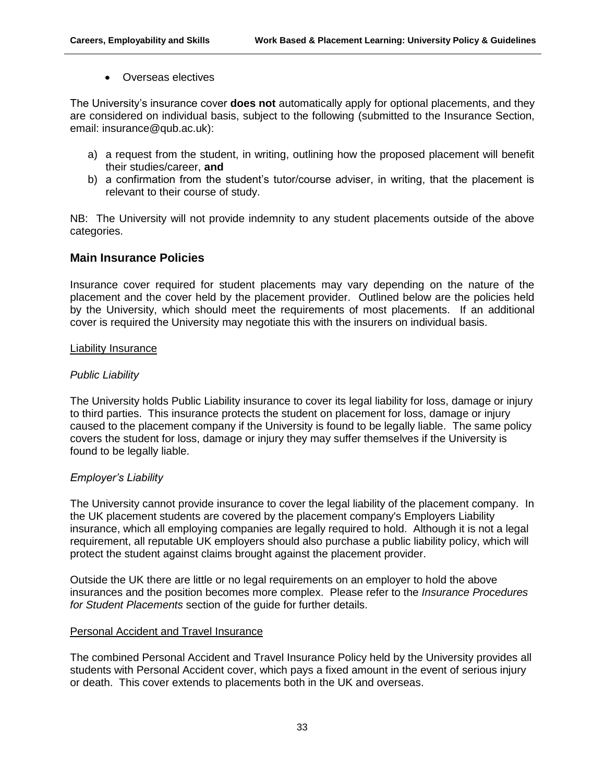• Overseas electives

The University's insurance cover **does not** automatically apply for optional placements, and they are considered on individual basis, subject to the following (submitted to the Insurance Section, email: insurance@qub.ac.uk):

- a) a request from the student, in writing, outlining how the proposed placement will benefit their studies/career, **and**
- b) a confirmation from the student's tutor/course adviser, in writing, that the placement is relevant to their course of study.

NB: The University will not provide indemnity to any student placements outside of the above categories.

# **Main Insurance Policies**

Insurance cover required for student placements may vary depending on the nature of the placement and the cover held by the placement provider. Outlined below are the policies held by the University, which should meet the requirements of most placements. If an additional cover is required the University may negotiate this with the insurers on individual basis.

## Liability Insurance

# *Public Liability*

The University holds Public Liability insurance to cover its legal liability for loss, damage or injury to third parties. This insurance protects the student on placement for loss, damage or injury caused to the placement company if the University is found to be legally liable. The same policy covers the student for loss, damage or injury they may suffer themselves if the University is found to be legally liable.

# *Employer's Liability*

The University cannot provide insurance to cover the legal liability of the placement company. In the UK placement students are covered by the placement company's Employers Liability insurance, which all employing companies are legally required to hold. Although it is not a legal requirement, all reputable UK employers should also purchase a public liability policy, which will protect the student against claims brought against the placement provider.

Outside the UK there are little or no legal requirements on an employer to hold the above insurances and the position becomes more complex. Please refer to the *Insurance Procedures for Student Placements* section of the guide for further details.

# Personal Accident and Travel Insurance

The combined Personal Accident and Travel Insurance Policy held by the University provides all students with Personal Accident cover, which pays a fixed amount in the event of serious injury or death. This cover extends to placements both in the UK and overseas.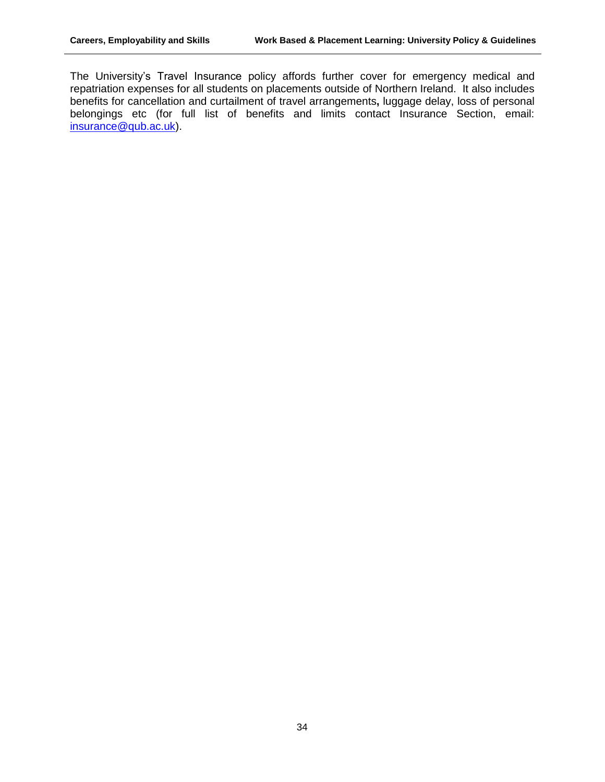The University's Travel Insurance policy affords further cover for emergency medical and repatriation expenses for all students on placements outside of Northern Ireland. It also includes benefits for cancellation and curtailment of travel arrangements**,** luggage delay, loss of personal belongings etc (for full list of benefits and limits contact Insurance Section, email: [insurance@qub.ac.uk\)](mailto:insurance@qub.ac.uk).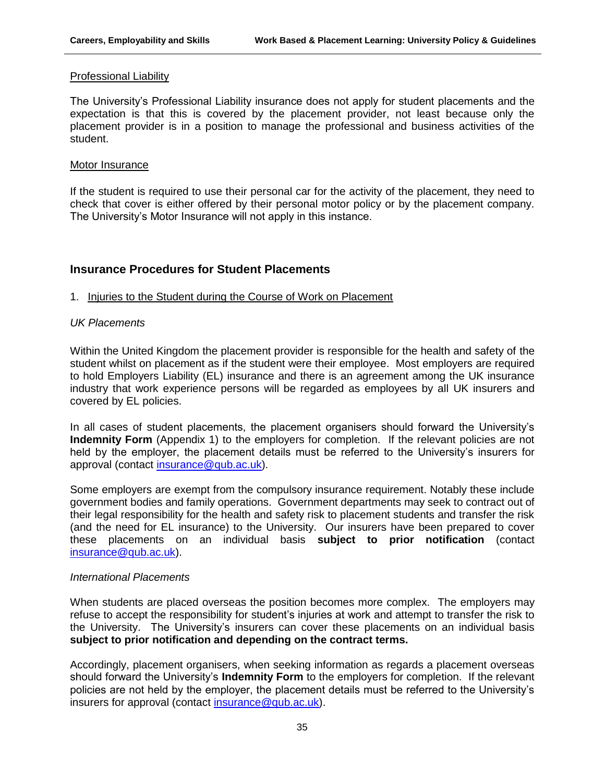#### Professional Liability

The University's Professional Liability insurance does not apply for student placements and the expectation is that this is covered by the placement provider, not least because only the placement provider is in a position to manage the professional and business activities of the student.

#### Motor Insurance

If the student is required to use their personal car for the activity of the placement, they need to check that cover is either offered by their personal motor policy or by the placement company. The University's Motor Insurance will not apply in this instance.

# **Insurance Procedures for Student Placements**

# 1. Injuries to the Student during the Course of Work on Placement

## *UK Placements*

Within the United Kingdom the placement provider is responsible for the health and safety of the student whilst on placement as if the student were their employee. Most employers are required to hold Employers Liability (EL) insurance and there is an agreement among the UK insurance industry that work experience persons will be regarded as employees by all UK insurers and covered by EL policies.

In all cases of student placements, the placement organisers should forward the University's **Indemnity Form** (Appendix 1) to the employers for completion. If the relevant policies are not held by the employer, the placement details must be referred to the University's insurers for approval (contact [insurance@qub.ac.uk\)](mailto:insurance@qub.ac.uk).

Some employers are exempt from the compulsory insurance requirement. Notably these include government bodies and family operations. Government departments may seek to contract out of their legal responsibility for the health and safety risk to placement students and transfer the risk (and the need for EL insurance) to the University. Our insurers have been prepared to cover these placements on an individual basis **subject to prior notification** (contact [insurance@qub.ac.uk\)](mailto:insurance@qub.ac.uk).

# *International Placements*

When students are placed overseas the position becomes more complex. The employers may refuse to accept the responsibility for student's injuries at work and attempt to transfer the risk to the University. The University's insurers can cover these placements on an individual basis **subject to prior notification and depending on the contract terms.** 

Accordingly, placement organisers, when seeking information as regards a placement overseas should forward the University's **Indemnity Form** to the employers for completion. If the relevant policies are not held by the employer, the placement details must be referred to the University's insurers for approval (contact [insurance@qub.ac.uk\)](mailto:insurance@qub.ac.uk).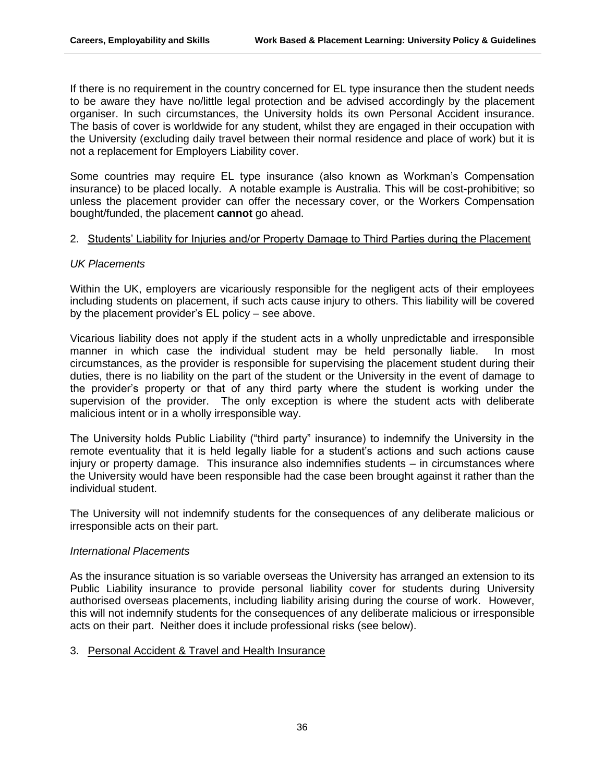If there is no requirement in the country concerned for EL type insurance then the student needs to be aware they have no/little legal protection and be advised accordingly by the placement organiser. In such circumstances, the University holds its own Personal Accident insurance. The basis of cover is worldwide for any student, whilst they are engaged in their occupation with the University (excluding daily travel between their normal residence and place of work) but it is not a replacement for Employers Liability cover.

Some countries may require EL type insurance (also known as Workman's Compensation insurance) to be placed locally. A notable example is Australia. This will be cost-prohibitive; so unless the placement provider can offer the necessary cover, or the Workers Compensation bought/funded, the placement **cannot** go ahead.

## 2. Students' Liability for Injuries and/or Property Damage to Third Parties during the Placement

# *UK Placements*

Within the UK, employers are vicariously responsible for the negligent acts of their employees including students on placement, if such acts cause injury to others. This liability will be covered by the placement provider's EL policy – see above.

Vicarious liability does not apply if the student acts in a wholly unpredictable and irresponsible manner in which case the individual student may be held personally liable. In most circumstances, as the provider is responsible for supervising the placement student during their duties, there is no liability on the part of the student or the University in the event of damage to the provider's property or that of any third party where the student is working under the supervision of the provider. The only exception is where the student acts with deliberate malicious intent or in a wholly irresponsible way.

The University holds Public Liability ("third party" insurance) to indemnify the University in the remote eventuality that it is held legally liable for a student's actions and such actions cause injury or property damage. This insurance also indemnifies students – in circumstances where the University would have been responsible had the case been brought against it rather than the individual student.

The University will not indemnify students for the consequences of any deliberate malicious or irresponsible acts on their part.

# *International Placements*

As the insurance situation is so variable overseas the University has arranged an extension to its Public Liability insurance to provide personal liability cover for students during University authorised overseas placements, including liability arising during the course of work. However, this will not indemnify students for the consequences of any deliberate malicious or irresponsible acts on their part. Neither does it include professional risks (see below).

# 3. Personal Accident & Travel and Health Insurance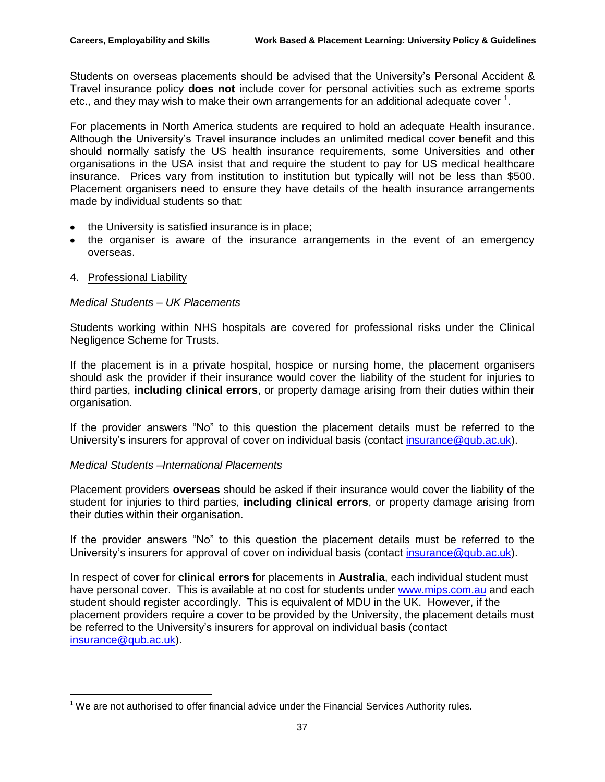Students on overseas placements should be advised that the University's Personal Accident & Travel insurance policy **does not** include cover for personal activities such as extreme sports etc., and they may wish to make their own arrangements for an additional adequate cover  $1$ .

For placements in North America students are required to hold an adequate Health insurance. Although the University's Travel insurance includes an unlimited medical cover benefit and this should normally satisfy the US health insurance requirements, some Universities and other organisations in the USA insist that and require the student to pay for US medical healthcare insurance. Prices vary from institution to institution but typically will not be less than \$500. Placement organisers need to ensure they have details of the health insurance arrangements made by individual students so that:

- the University is satisfied insurance is in place;
- the organiser is aware of the insurance arrangements in the event of an emergency overseas.
- 4. Professional Liability

 $\overline{a}$ 

## *Medical Students – UK Placements*

Students working within NHS hospitals are covered for professional risks under the Clinical Negligence Scheme for Trusts.

If the placement is in a private hospital, hospice or nursing home, the placement organisers should ask the provider if their insurance would cover the liability of the student for injuries to third parties, **including clinical errors**, or property damage arising from their duties within their organisation.

If the provider answers "No" to this question the placement details must be referred to the University's insurers for approval of cover on individual basis (contact insurance @qub.ac.uk).

# *Medical Students –International Placements*

Placement providers **overseas** should be asked if their insurance would cover the liability of the student for injuries to third parties, **including clinical errors**, or property damage arising from their duties within their organisation.

If the provider answers "No" to this question the placement details must be referred to the University's insurers for approval of cover on individual basis (contact insurance @qub.ac.uk).

In respect of cover for **clinical errors** for placements in **Australia**, each individual student must have personal cover. This is available at no cost for students under [www.mips.com.au](http://www.mips.com.au/) and each student should register accordingly. This is equivalent of MDU in the UK. However, if the placement providers require a cover to be provided by the University, the placement details must be referred to the University's insurers for approval on individual basis (contact [insurance@qub.ac.uk\)](mailto:insurance@qub.ac.uk).

 $1$  We are not authorised to offer financial advice under the Financial Services Authority rules.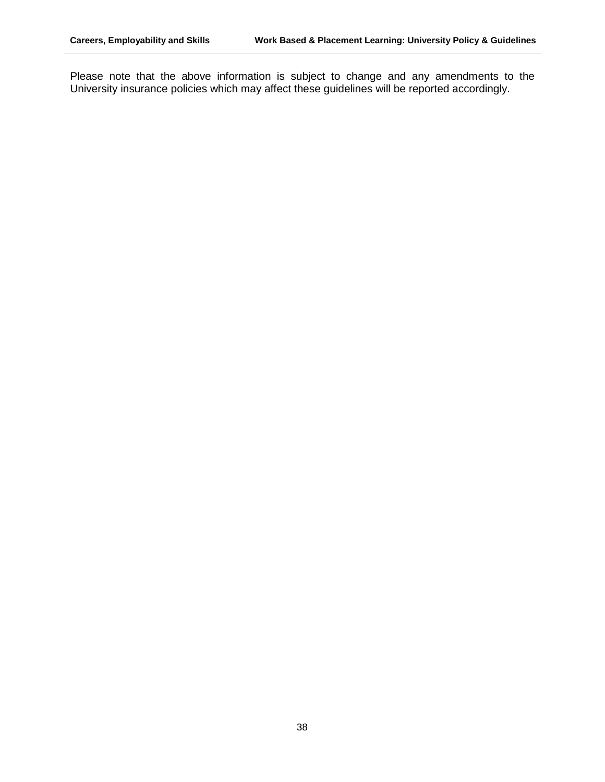Please note that the above information is subject to change and any amendments to the University insurance policies which may affect these guidelines will be reported accordingly.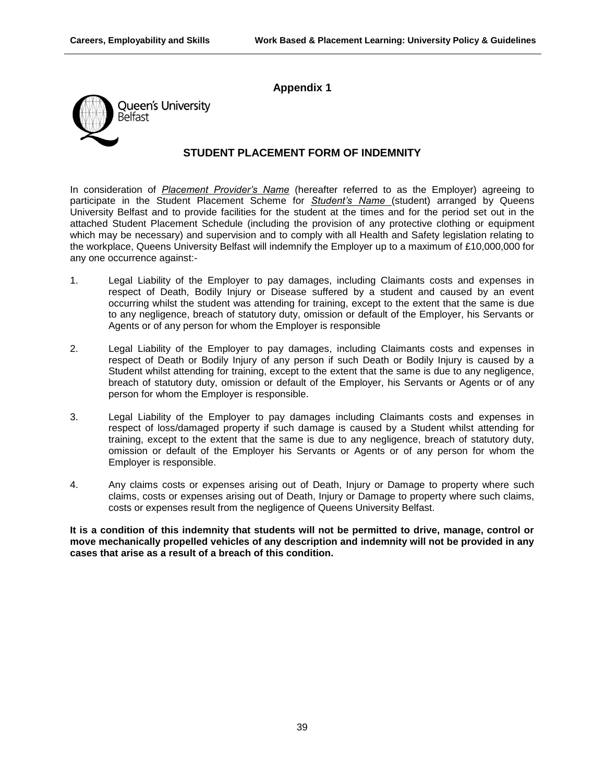# **Appendix 1**



# **STUDENT PLACEMENT FORM OF INDEMNITY**

In consideration of *Placement Provider's Name* (hereafter referred to as the Employer) agreeing to participate in the Student Placement Scheme for *Student's Name* (student) arranged by Queens University Belfast and to provide facilities for the student at the times and for the period set out in the attached Student Placement Schedule (including the provision of any protective clothing or equipment which may be necessary) and supervision and to comply with all Health and Safety legislation relating to the workplace, Queens University Belfast will indemnify the Employer up to a maximum of £10,000,000 for any one occurrence against:-

- 1. Legal Liability of the Employer to pay damages, including Claimants costs and expenses in respect of Death, Bodily Injury or Disease suffered by a student and caused by an event occurring whilst the student was attending for training, except to the extent that the same is due to any negligence, breach of statutory duty, omission or default of the Employer, his Servants or Agents or of any person for whom the Employer is responsible
- 2. Legal Liability of the Employer to pay damages, including Claimants costs and expenses in respect of Death or Bodily Injury of any person if such Death or Bodily Injury is caused by a Student whilst attending for training, except to the extent that the same is due to any negligence, breach of statutory duty, omission or default of the Employer, his Servants or Agents or of any person for whom the Employer is responsible.
- 3. Legal Liability of the Employer to pay damages including Claimants costs and expenses in respect of loss/damaged property if such damage is caused by a Student whilst attending for training, except to the extent that the same is due to any negligence, breach of statutory duty, omission or default of the Employer his Servants or Agents or of any person for whom the Employer is responsible.
- 4. Any claims costs or expenses arising out of Death, Injury or Damage to property where such claims, costs or expenses arising out of Death, Injury or Damage to property where such claims, costs or expenses result from the negligence of Queens University Belfast.

**It is a condition of this indemnity that students will not be permitted to drive, manage, control or move mechanically propelled vehicles of any description and indemnity will not be provided in any cases that arise as a result of a breach of this condition.**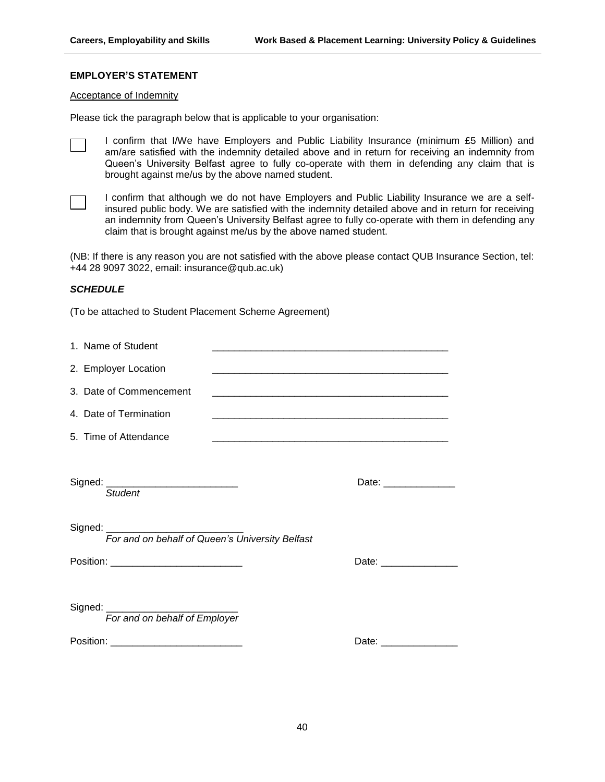#### **EMPLOYER'S STATEMENT**

#### Acceptance of Indemnity

Please tick the paragraph below that is applicable to your organisation:

I confirm that I/We have Employers and Public Liability Insurance (minimum £5 Million) and am/are satisfied with the indemnity detailed above and in return for receiving an indemnity from Queen's University Belfast agree to fully co-operate with them in defending any claim that is brought against me/us by the above named student.

I confirm that although we do not have Employers and Public Liability Insurance we are a selfinsured public body. We are satisfied with the indemnity detailed above and in return for receiving an indemnity from Queen's University Belfast agree to fully co-operate with them in defending any claim that is brought against me/us by the above named student.

(NB: If there is any reason you are not satisfied with the above please contact QUB Insurance Section, tel: +44 28 9097 3022, email: insurance@qub.ac.uk)

#### *SCHEDULE*

(To be attached to Student Placement Scheme Agreement)

| 1. Name of Student                                                |                         |
|-------------------------------------------------------------------|-------------------------|
| 2. Employer Location                                              |                         |
| 3. Date of Commencement                                           |                         |
| 4. Date of Termination                                            |                         |
| 5. Time of Attendance                                             |                         |
| Signed: ________________________________<br><b>Student</b>        | Date: _______________   |
| For and on behalf of Queen's University Belfast                   |                         |
| Position: _____________________________                           | Date: _________________ |
| Signed: ________________________<br>For and on behalf of Employer |                         |
| Position: _____________________________                           | Date: ________________  |
|                                                                   |                         |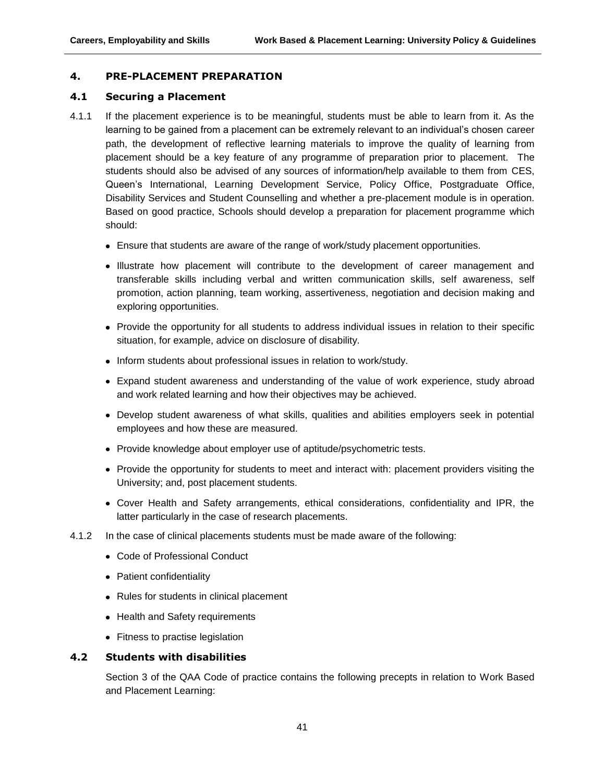# **4. PRE-PLACEMENT PREPARATION**

#### **4.1 Securing a Placement**

- 4.1.1 If the placement experience is to be meaningful, students must be able to learn from it. As the learning to be gained from a placement can be extremely relevant to an individual's chosen career path, the development of reflective learning materials to improve the quality of learning from placement should be a key feature of any programme of preparation prior to placement. The students should also be advised of any sources of information/help available to them from CES, Queen's International, Learning Development Service, Policy Office, Postgraduate Office, Disability Services and Student Counselling and whether a pre-placement module is in operation. Based on good practice, Schools should develop a preparation for placement programme which should:
	- Ensure that students are aware of the range of work/study placement opportunities.
	- Illustrate how placement will contribute to the development of career management and transferable skills including verbal and written communication skills, self awareness, self promotion, action planning, team working, assertiveness, negotiation and decision making and exploring opportunities.
	- Provide the opportunity for all students to address individual issues in relation to their specific situation, for example, advice on disclosure of disability.
	- Inform students about professional issues in relation to work/study.
	- Expand student awareness and understanding of the value of work experience, study abroad and work related learning and how their objectives may be achieved.
	- Develop student awareness of what skills, qualities and abilities employers seek in potential employees and how these are measured.
	- Provide knowledge about employer use of aptitude/psychometric tests.
	- Provide the opportunity for students to meet and interact with: placement providers visiting the University; and, post placement students.
	- Cover Health and Safety arrangements, ethical considerations, confidentiality and IPR, the latter particularly in the case of research placements.
- 4.1.2 In the case of clinical placements students must be made aware of the following:
	- Code of Professional Conduct
	- Patient confidentiality
	- Rules for students in clinical placement
	- Health and Safety requirements
	- Fitness to practise legislation

# **4.2 Students with disabilities**

Section 3 of the QAA Code of practice contains the following precepts in relation to Work Based and Placement Learning: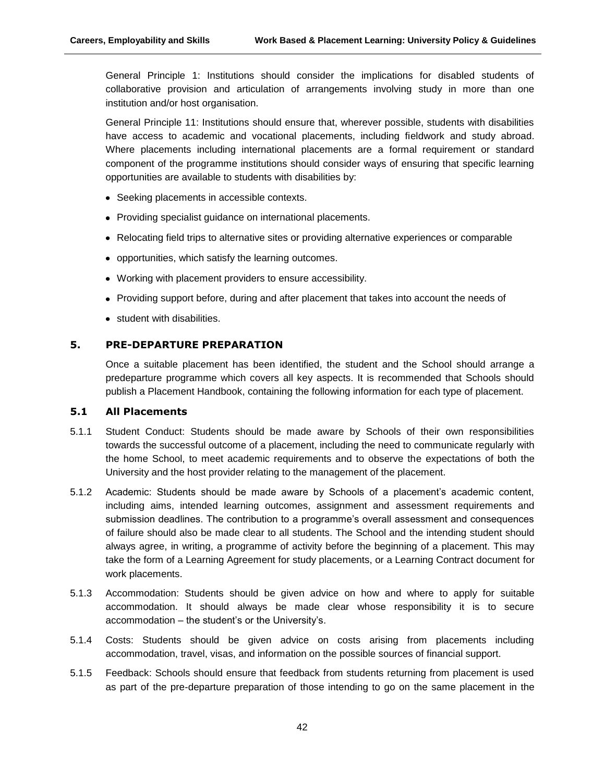General Principle 1: Institutions should consider the implications for disabled students of collaborative provision and articulation of arrangements involving study in more than one institution and/or host organisation.

General Principle 11: Institutions should ensure that, wherever possible, students with disabilities have access to academic and vocational placements, including fieldwork and study abroad. Where placements including international placements are a formal requirement or standard component of the programme institutions should consider ways of ensuring that specific learning opportunities are available to students with disabilities by:

- Seeking placements in accessible contexts.
- Providing specialist guidance on international placements.
- Relocating field trips to alternative sites or providing alternative experiences or comparable
- opportunities, which satisfy the learning outcomes.
- Working with placement providers to ensure accessibility.
- Providing support before, during and after placement that takes into account the needs of
- student with disabilities.

## **5. PRE-DEPARTURE PREPARATION**

Once a suitable placement has been identified, the student and the School should arrange a predeparture programme which covers all key aspects. It is recommended that Schools should publish a Placement Handbook, containing the following information for each type of placement.

#### **5.1 All Placements**

- 5.1.1 Student Conduct: Students should be made aware by Schools of their own responsibilities towards the successful outcome of a placement, including the need to communicate regularly with the home School, to meet academic requirements and to observe the expectations of both the University and the host provider relating to the management of the placement.
- 5.1.2 Academic: Students should be made aware by Schools of a placement's academic content, including aims, intended learning outcomes, assignment and assessment requirements and submission deadlines. The contribution to a programme's overall assessment and consequences of failure should also be made clear to all students. The School and the intending student should always agree, in writing, a programme of activity before the beginning of a placement. This may take the form of a Learning Agreement for study placements, or a Learning Contract document for work placements.
- 5.1.3 Accommodation: Students should be given advice on how and where to apply for suitable accommodation. It should always be made clear whose responsibility it is to secure accommodation – the student's or the University's.
- 5.1.4 Costs: Students should be given advice on costs arising from placements including accommodation, travel, visas, and information on the possible sources of financial support.
- 5.1.5 Feedback: Schools should ensure that feedback from students returning from placement is used as part of the pre-departure preparation of those intending to go on the same placement in the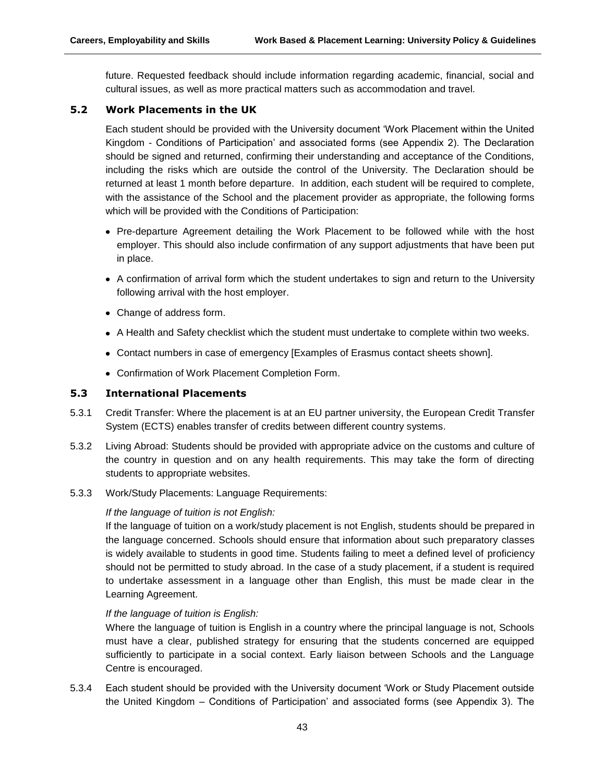future. Requested feedback should include information regarding academic, financial, social and cultural issues, as well as more practical matters such as accommodation and travel.

## **5.2 Work Placements in the UK**

Each student should be provided with the University document 'Work Placement within the United Kingdom - Conditions of Participation' and associated forms (see Appendix 2). The Declaration should be signed and returned, confirming their understanding and acceptance of the Conditions, including the risks which are outside the control of the University. The Declaration should be returned at least 1 month before departure. In addition, each student will be required to complete, with the assistance of the School and the placement provider as appropriate, the following forms which will be provided with the Conditions of Participation:

- Pre-departure Agreement detailing the Work Placement to be followed while with the host employer. This should also include confirmation of any support adjustments that have been put in place.
- A confirmation of arrival form which the student undertakes to sign and return to the University following arrival with the host employer.
- Change of address form.
- A Health and Safety checklist which the student must undertake to complete within two weeks.
- Contact numbers in case of emergency [Examples of Erasmus contact sheets shown].
- Confirmation of Work Placement Completion Form.

## **5.3 International Placements**

- 5.3.1 Credit Transfer: Where the placement is at an EU partner university, the European Credit Transfer System (ECTS) enables transfer of credits between different country systems.
- 5.3.2 Living Abroad: Students should be provided with appropriate advice on the customs and culture of the country in question and on any health requirements. This may take the form of directing students to appropriate websites.
- 5.3.3 Work/Study Placements: Language Requirements:

#### *If the language of tuition is not English:*

If the language of tuition on a work/study placement is not English, students should be prepared in the language concerned. Schools should ensure that information about such preparatory classes is widely available to students in good time. Students failing to meet a defined level of proficiency should not be permitted to study abroad. In the case of a study placement, if a student is required to undertake assessment in a language other than English, this must be made clear in the Learning Agreement.

#### *If the language of tuition is English:*

Where the language of tuition is English in a country where the principal language is not, Schools must have a clear, published strategy for ensuring that the students concerned are equipped sufficiently to participate in a social context. Early liaison between Schools and the Language Centre is encouraged.

5.3.4 Each student should be provided with the University document 'Work or Study Placement outside the United Kingdom – Conditions of Participation' and associated forms (see Appendix 3). The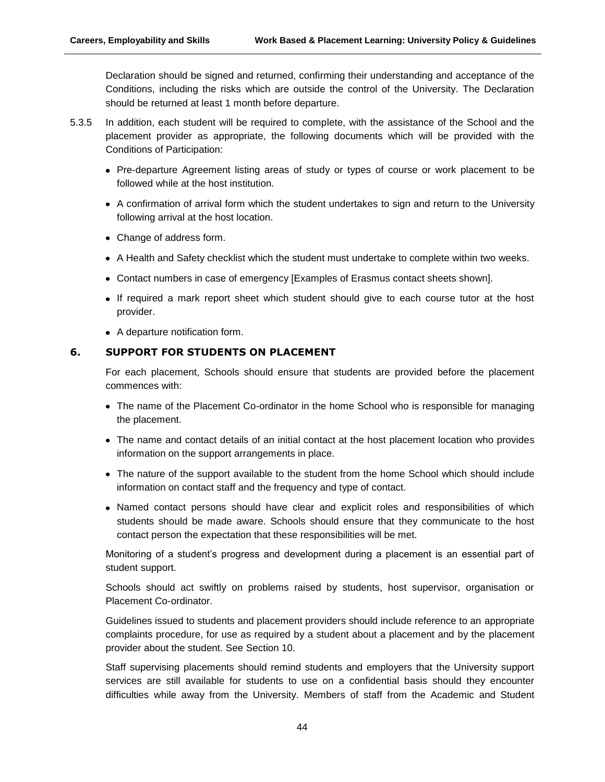Declaration should be signed and returned, confirming their understanding and acceptance of the Conditions, including the risks which are outside the control of the University. The Declaration should be returned at least 1 month before departure.

- 5.3.5 In addition, each student will be required to complete, with the assistance of the School and the placement provider as appropriate, the following documents which will be provided with the Conditions of Participation:
	- Pre-departure Agreement listing areas of study or types of course or work placement to be followed while at the host institution.
	- A confirmation of arrival form which the student undertakes to sign and return to the University following arrival at the host location.
	- Change of address form.
	- A Health and Safety checklist which the student must undertake to complete within two weeks.
	- Contact numbers in case of emergency [Examples of Erasmus contact sheets shown].
	- If required a mark report sheet which student should give to each course tutor at the host provider.
	- A departure notification form.

# **6. SUPPORT FOR STUDENTS ON PLACEMENT**

For each placement, Schools should ensure that students are provided before the placement commences with:

- The name of the Placement Co-ordinator in the home School who is responsible for managing the placement.
- The name and contact details of an initial contact at the host placement location who provides information on the support arrangements in place.
- The nature of the support available to the student from the home School which should include information on contact staff and the frequency and type of contact.
- Named contact persons should have clear and explicit roles and responsibilities of which students should be made aware. Schools should ensure that they communicate to the host contact person the expectation that these responsibilities will be met.

Monitoring of a student's progress and development during a placement is an essential part of student support.

Schools should act swiftly on problems raised by students, host supervisor, organisation or Placement Co-ordinator.

Guidelines issued to students and placement providers should include reference to an appropriate complaints procedure, for use as required by a student about a placement and by the placement provider about the student. See Section 10.

Staff supervising placements should remind students and employers that the University support services are still available for students to use on a confidential basis should they encounter difficulties while away from the University. Members of staff from the Academic and Student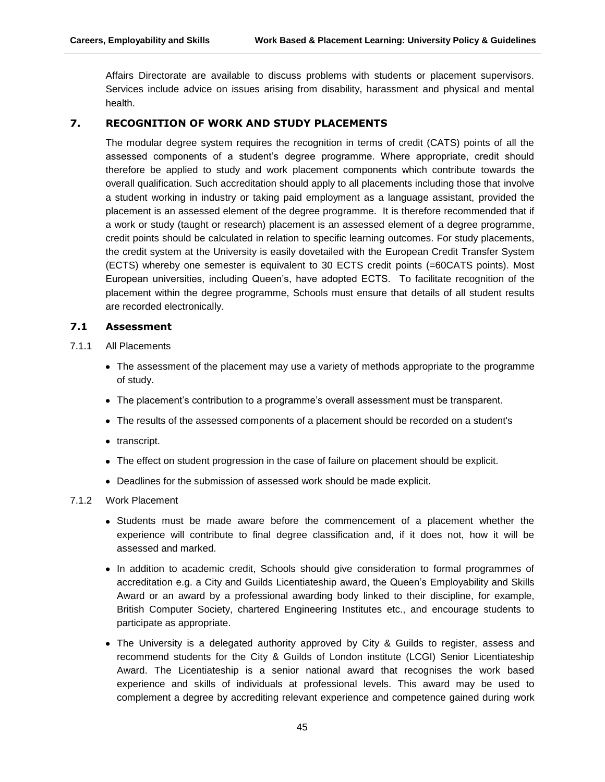Affairs Directorate are available to discuss problems with students or placement supervisors. Services include advice on issues arising from disability, harassment and physical and mental health.

## **7. RECOGNITION OF WORK AND STUDY PLACEMENTS**

The modular degree system requires the recognition in terms of credit (CATS) points of all the assessed components of a student's degree programme. Where appropriate, credit should therefore be applied to study and work placement components which contribute towards the overall qualification. Such accreditation should apply to all placements including those that involve a student working in industry or taking paid employment as a language assistant, provided the placement is an assessed element of the degree programme. It is therefore recommended that if a work or study (taught or research) placement is an assessed element of a degree programme, credit points should be calculated in relation to specific learning outcomes. For study placements, the credit system at the University is easily dovetailed with the European Credit Transfer System (ECTS) whereby one semester is equivalent to 30 ECTS credit points (=60CATS points). Most European universities, including Queen's, have adopted ECTS. To facilitate recognition of the placement within the degree programme, Schools must ensure that details of all student results are recorded electronically.

## **7.1 Assessment**

- 7.1.1 All Placements
	- The assessment of the placement may use a variety of methods appropriate to the programme of study.
	- The placement's contribution to a programme's overall assessment must be transparent.
	- The results of the assessed components of a placement should be recorded on a student's
	- transcript.
	- The effect on student progression in the case of failure on placement should be explicit.
	- Deadlines for the submission of assessed work should be made explicit.

#### 7.1.2 Work Placement

- Students must be made aware before the commencement of a placement whether the experience will contribute to final degree classification and, if it does not, how it will be assessed and marked.
- In addition to academic credit, Schools should give consideration to formal programmes of accreditation e.g. a City and Guilds Licentiateship award, the Queen's Employability and Skills Award or an award by a professional awarding body linked to their discipline, for example, British Computer Society, chartered Engineering Institutes etc., and encourage students to participate as appropriate.
- The University is a delegated authority approved by City & Guilds to register, assess and recommend students for the City & Guilds of London institute (LCGI) Senior Licentiateship Award. The Licentiateship is a senior national award that recognises the work based experience and skills of individuals at professional levels. This award may be used to complement a degree by accrediting relevant experience and competence gained during work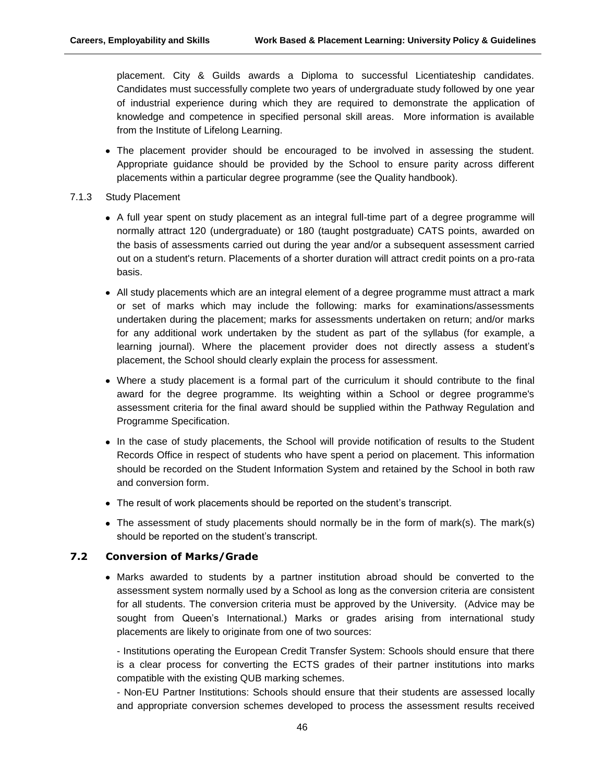placement. City & Guilds awards a Diploma to successful Licentiateship candidates. Candidates must successfully complete two years of undergraduate study followed by one year of industrial experience during which they are required to demonstrate the application of knowledge and competence in specified personal skill areas. More information is available from the Institute of Lifelong Learning.

- The placement provider should be encouraged to be involved in assessing the student. Appropriate guidance should be provided by the School to ensure parity across different placements within a particular degree programme (see the Quality handbook).
- 7.1.3 Study Placement
	- A full year spent on study placement as an integral full-time part of a degree programme will normally attract 120 (undergraduate) or 180 (taught postgraduate) CATS points, awarded on the basis of assessments carried out during the year and/or a subsequent assessment carried out on a student's return. Placements of a shorter duration will attract credit points on a pro-rata basis.
	- All study placements which are an integral element of a degree programme must attract a mark or set of marks which may include the following: marks for examinations/assessments undertaken during the placement; marks for assessments undertaken on return; and/or marks for any additional work undertaken by the student as part of the syllabus (for example, a learning journal). Where the placement provider does not directly assess a student's placement, the School should clearly explain the process for assessment.
	- Where a study placement is a formal part of the curriculum it should contribute to the final award for the degree programme. Its weighting within a School or degree programme's assessment criteria for the final award should be supplied within the Pathway Regulation and Programme Specification.
	- In the case of study placements, the School will provide notification of results to the Student Records Office in respect of students who have spent a period on placement. This information should be recorded on the Student Information System and retained by the School in both raw and conversion form.
	- The result of work placements should be reported on the student's transcript.
	- The assessment of study placements should normally be in the form of mark(s). The mark(s) should be reported on the student's transcript.

#### **7.2 Conversion of Marks/Grade**

Marks awarded to students by a partner institution abroad should be converted to the assessment system normally used by a School as long as the conversion criteria are consistent for all students. The conversion criteria must be approved by the University. (Advice may be sought from Queen's International.) Marks or grades arising from international study placements are likely to originate from one of two sources:

- Institutions operating the European Credit Transfer System: Schools should ensure that there is a clear process for converting the ECTS grades of their partner institutions into marks compatible with the existing QUB marking schemes.

- Non-EU Partner Institutions: Schools should ensure that their students are assessed locally and appropriate conversion schemes developed to process the assessment results received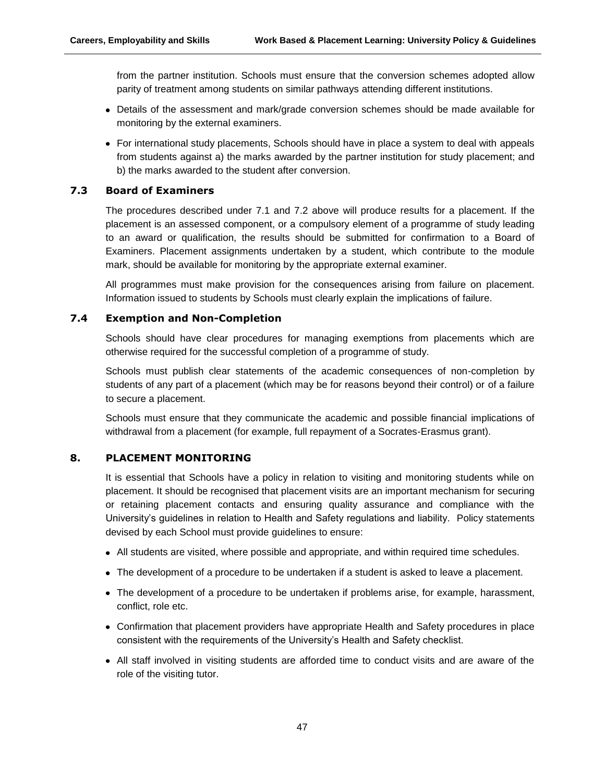from the partner institution. Schools must ensure that the conversion schemes adopted allow parity of treatment among students on similar pathways attending different institutions.

- Details of the assessment and mark/grade conversion schemes should be made available for monitoring by the external examiners.
- For international study placements, Schools should have in place a system to deal with appeals from students against a) the marks awarded by the partner institution for study placement; and b) the marks awarded to the student after conversion.

## **7.3 Board of Examiners**

The procedures described under 7.1 and 7.2 above will produce results for a placement. If the placement is an assessed component, or a compulsory element of a programme of study leading to an award or qualification, the results should be submitted for confirmation to a Board of Examiners. Placement assignments undertaken by a student, which contribute to the module mark, should be available for monitoring by the appropriate external examiner.

All programmes must make provision for the consequences arising from failure on placement. Information issued to students by Schools must clearly explain the implications of failure.

## **7.4 Exemption and Non-Completion**

Schools should have clear procedures for managing exemptions from placements which are otherwise required for the successful completion of a programme of study.

Schools must publish clear statements of the academic consequences of non-completion by students of any part of a placement (which may be for reasons beyond their control) or of a failure to secure a placement.

Schools must ensure that they communicate the academic and possible financial implications of withdrawal from a placement (for example, full repayment of a Socrates-Erasmus grant).

## **8. PLACEMENT MONITORING**

It is essential that Schools have a policy in relation to visiting and monitoring students while on placement. It should be recognised that placement visits are an important mechanism for securing or retaining placement contacts and ensuring quality assurance and compliance with the University's guidelines in relation to Health and Safety regulations and liability. Policy statements devised by each School must provide guidelines to ensure:

- All students are visited, where possible and appropriate, and within required time schedules.
- The development of a procedure to be undertaken if a student is asked to leave a placement.
- The development of a procedure to be undertaken if problems arise, for example, harassment, conflict, role etc.
- Confirmation that placement providers have appropriate Health and Safety procedures in place consistent with the requirements of the University's Health and Safety checklist.
- All staff involved in visiting students are afforded time to conduct visits and are aware of the role of the visiting tutor.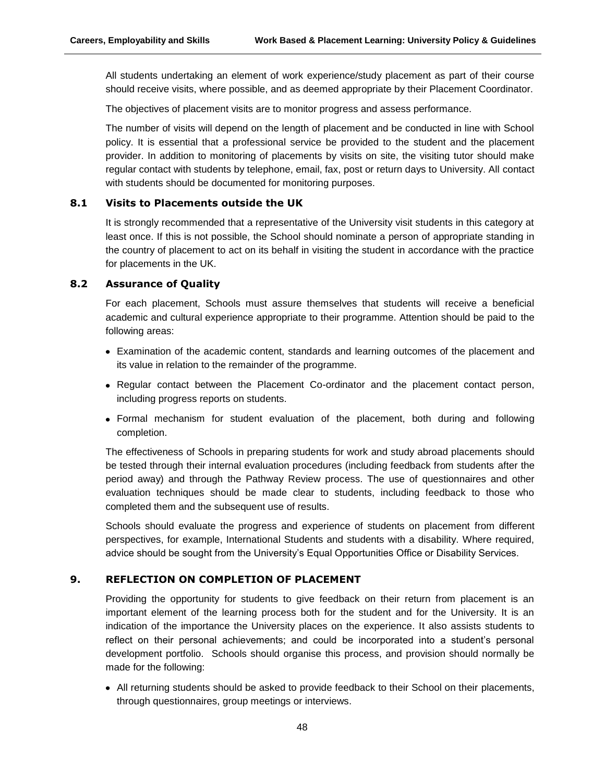All students undertaking an element of work experience/study placement as part of their course should receive visits, where possible, and as deemed appropriate by their Placement Coordinator.

The objectives of placement visits are to monitor progress and assess performance.

The number of visits will depend on the length of placement and be conducted in line with School policy. It is essential that a professional service be provided to the student and the placement provider. In addition to monitoring of placements by visits on site, the visiting tutor should make regular contact with students by telephone, email, fax, post or return days to University. All contact with students should be documented for monitoring purposes.

## **8.1 Visits to Placements outside the UK**

It is strongly recommended that a representative of the University visit students in this category at least once. If this is not possible, the School should nominate a person of appropriate standing in the country of placement to act on its behalf in visiting the student in accordance with the practice for placements in the UK.

## **8.2 Assurance of Quality**

For each placement, Schools must assure themselves that students will receive a beneficial academic and cultural experience appropriate to their programme. Attention should be paid to the following areas:

- Examination of the academic content, standards and learning outcomes of the placement and its value in relation to the remainder of the programme.
- Regular contact between the Placement Co-ordinator and the placement contact person, including progress reports on students.
- Formal mechanism for student evaluation of the placement, both during and following completion.

The effectiveness of Schools in preparing students for work and study abroad placements should be tested through their internal evaluation procedures (including feedback from students after the period away) and through the Pathway Review process. The use of questionnaires and other evaluation techniques should be made clear to students, including feedback to those who completed them and the subsequent use of results.

Schools should evaluate the progress and experience of students on placement from different perspectives, for example, International Students and students with a disability. Where required, advice should be sought from the University's Equal Opportunities Office or Disability Services.

#### **9. REFLECTION ON COMPLETION OF PLACEMENT**

Providing the opportunity for students to give feedback on their return from placement is an important element of the learning process both for the student and for the University. It is an indication of the importance the University places on the experience. It also assists students to reflect on their personal achievements; and could be incorporated into a student's personal development portfolio. Schools should organise this process, and provision should normally be made for the following:

All returning students should be asked to provide feedback to their School on their placements, through questionnaires, group meetings or interviews.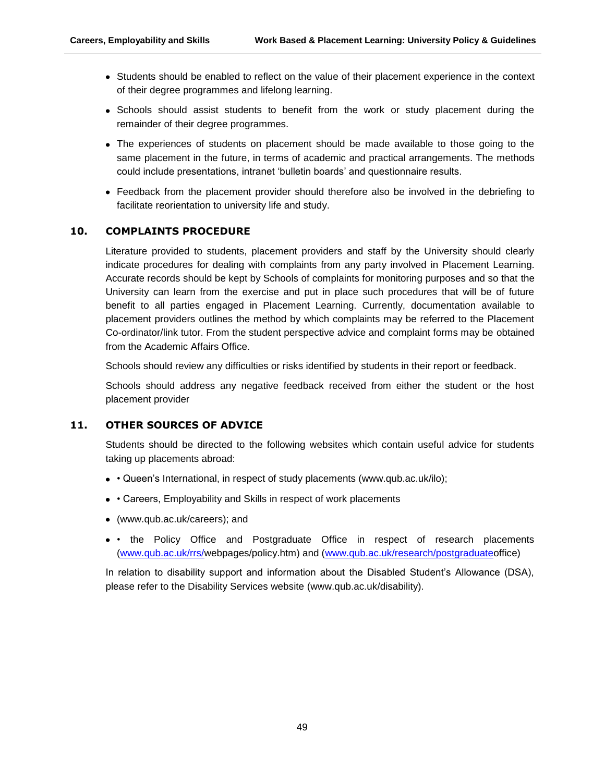- Students should be enabled to reflect on the value of their placement experience in the context of their degree programmes and lifelong learning.
- Schools should assist students to benefit from the work or study placement during the remainder of their degree programmes.
- The experiences of students on placement should be made available to those going to the same placement in the future, in terms of academic and practical arrangements. The methods could include presentations, intranet 'bulletin boards' and questionnaire results.
- Feedback from the placement provider should therefore also be involved in the debriefing to facilitate reorientation to university life and study.

## **10. COMPLAINTS PROCEDURE**

Literature provided to students, placement providers and staff by the University should clearly indicate procedures for dealing with complaints from any party involved in Placement Learning. Accurate records should be kept by Schools of complaints for monitoring purposes and so that the University can learn from the exercise and put in place such procedures that will be of future benefit to all parties engaged in Placement Learning. Currently, documentation available to placement providers outlines the method by which complaints may be referred to the Placement Co-ordinator/link tutor. From the student perspective advice and complaint forms may be obtained from the Academic Affairs Office.

Schools should review any difficulties or risks identified by students in their report or feedback.

Schools should address any negative feedback received from either the student or the host placement provider

#### **11. OTHER SOURCES OF ADVICE**

Students should be directed to the following websites which contain useful advice for students taking up placements abroad:

- · Queen's International, in respect of study placements (www.qub.ac.uk/ilo);
- Careers, Employability and Skills in respect of work placements
- (www.qub.ac.uk/careers); and
- • the Policy Office and Postgraduate Office in respect of research placements [\(www.qub.ac.uk/rrs/w](http://www.qub.ac.uk/rrs/)ebpages/policy.htm) and [\(www.qub.ac.uk/research/postgraduateo](http://www.qub.ac.uk/research/postgraduate)ffice)

In relation to disability support and information about the Disabled Student's Allowance (DSA), please refer to the Disability Services website (www.qub.ac.uk/disability).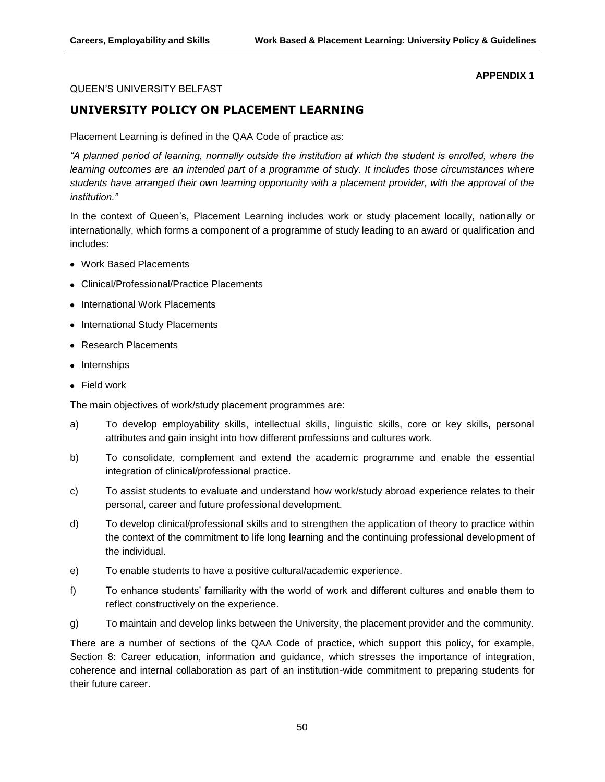#### **APPENDIX 1**

#### QUEEN'S UNIVERSITY BELFAST

## **UNIVERSITY POLICY ON PLACEMENT LEARNING**

Placement Learning is defined in the QAA Code of practice as:

*"A planned period of learning, normally outside the institution at which the student is enrolled, where the learning outcomes are an intended part of a programme of study. It includes those circumstances where students have arranged their own learning opportunity with a placement provider, with the approval of the institution."*

In the context of Queen's, Placement Learning includes work or study placement locally, nationally or internationally, which forms a component of a programme of study leading to an award or qualification and includes:

- Work Based Placements
- Clinical/Professional/Practice Placements
- International Work Placements
- International Study Placements
- Research Placements
- Internships
- Field work

The main objectives of work/study placement programmes are:

- a) To develop employability skills, intellectual skills, linguistic skills, core or key skills, personal attributes and gain insight into how different professions and cultures work.
- b) To consolidate, complement and extend the academic programme and enable the essential integration of clinical/professional practice.
- c) To assist students to evaluate and understand how work/study abroad experience relates to their personal, career and future professional development.
- d) To develop clinical/professional skills and to strengthen the application of theory to practice within the context of the commitment to life long learning and the continuing professional development of the individual.
- e) To enable students to have a positive cultural/academic experience.
- f) To enhance students' familiarity with the world of work and different cultures and enable them to reflect constructively on the experience.
- g) To maintain and develop links between the University, the placement provider and the community.

There are a number of sections of the QAA Code of practice, which support this policy, for example, Section 8: Career education, information and guidance, which stresses the importance of integration, coherence and internal collaboration as part of an institution-wide commitment to preparing students for their future career.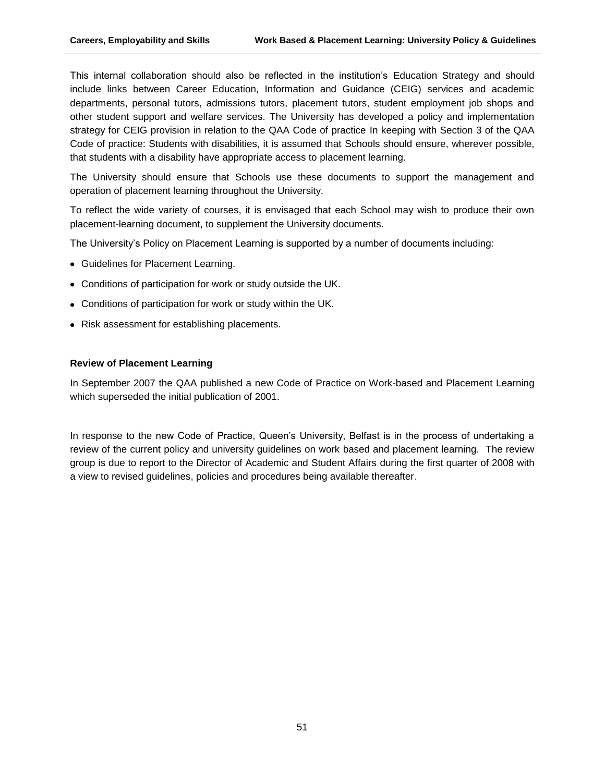This internal collaboration should also be reflected in the institution's Education Strategy and should include links between Career Education, Information and Guidance (CEIG) services and academic departments, personal tutors, admissions tutors, placement tutors, student employment job shops and other student support and welfare services. The University has developed a policy and implementation strategy for CEIG provision in relation to the QAA Code of practice In keeping with Section 3 of the QAA Code of practice: Students with disabilities, it is assumed that Schools should ensure, wherever possible, that students with a disability have appropriate access to placement learning.

The University should ensure that Schools use these documents to support the management and operation of placement learning throughout the University.

To reflect the wide variety of courses, it is envisaged that each School may wish to produce their own placement-learning document, to supplement the University documents.

The University's Policy on Placement Learning is supported by a number of documents including:

- Guidelines for Placement Learning.
- Conditions of participation for work or study outside the UK.
- Conditions of participation for work or study within the UK.
- Risk assessment for establishing placements.

#### **Review of Placement Learning**

In September 2007 the QAA published a new Code of Practice on Work-based and Placement Learning which superseded the initial publication of 2001.

In response to the new Code of Practice, Queen's University, Belfast is in the process of undertaking a review of the current policy and university guidelines on work based and placement learning. The review group is due to report to the Director of Academic and Student Affairs during the first quarter of 2008 with a view to revised guidelines, policies and procedures being available thereafter.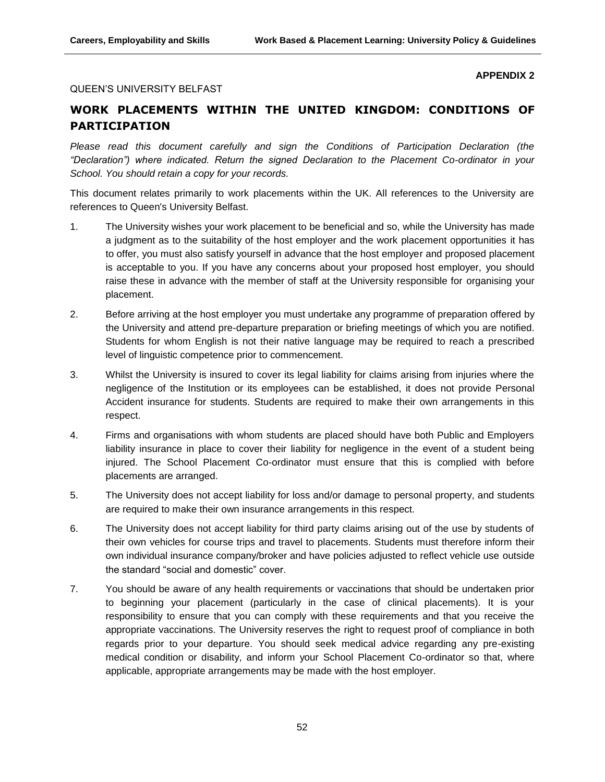#### **APPENDIX 2**

#### QUEEN'S UNIVERSITY BELFAST

# **WORK PLACEMENTS WITHIN THE UNITED KINGDOM: CONDITIONS OF PARTICIPATION**

*Please read this document carefully and sign the Conditions of Participation Declaration (the "Declaration") where indicated. Return the signed Declaration to the Placement Co-ordinator in your School. You should retain a copy for your records.*

This document relates primarily to work placements within the UK. All references to the University are references to Queen's University Belfast.

- 1. The University wishes your work placement to be beneficial and so, while the University has made a judgment as to the suitability of the host employer and the work placement opportunities it has to offer, you must also satisfy yourself in advance that the host employer and proposed placement is acceptable to you. If you have any concerns about your proposed host employer, you should raise these in advance with the member of staff at the University responsible for organising your placement.
- 2. Before arriving at the host employer you must undertake any programme of preparation offered by the University and attend pre-departure preparation or briefing meetings of which you are notified. Students for whom English is not their native language may be required to reach a prescribed level of linguistic competence prior to commencement.
- 3. Whilst the University is insured to cover its legal liability for claims arising from injuries where the negligence of the Institution or its employees can be established, it does not provide Personal Accident insurance for students. Students are required to make their own arrangements in this respect.
- 4. Firms and organisations with whom students are placed should have both Public and Employers liability insurance in place to cover their liability for negligence in the event of a student being injured. The School Placement Co-ordinator must ensure that this is complied with before placements are arranged.
- 5. The University does not accept liability for loss and/or damage to personal property, and students are required to make their own insurance arrangements in this respect.
- 6. The University does not accept liability for third party claims arising out of the use by students of their own vehicles for course trips and travel to placements. Students must therefore inform their own individual insurance company/broker and have policies adjusted to reflect vehicle use outside the standard "social and domestic" cover.
- 7. You should be aware of any health requirements or vaccinations that should be undertaken prior to beginning your placement (particularly in the case of clinical placements). It is your responsibility to ensure that you can comply with these requirements and that you receive the appropriate vaccinations. The University reserves the right to request proof of compliance in both regards prior to your departure. You should seek medical advice regarding any pre-existing medical condition or disability, and inform your School Placement Co-ordinator so that, where applicable, appropriate arrangements may be made with the host employer.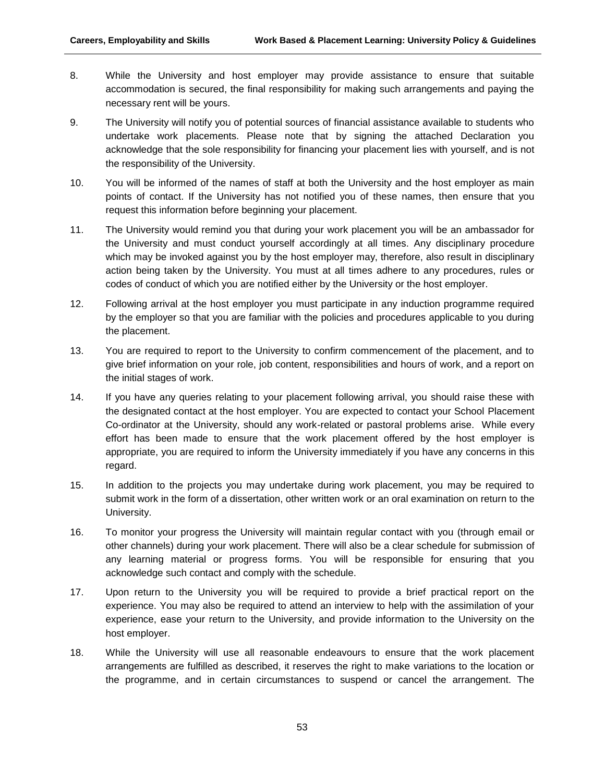- 8. While the University and host employer may provide assistance to ensure that suitable accommodation is secured, the final responsibility for making such arrangements and paying the necessary rent will be yours.
- 9. The University will notify you of potential sources of financial assistance available to students who undertake work placements. Please note that by signing the attached Declaration you acknowledge that the sole responsibility for financing your placement lies with yourself, and is not the responsibility of the University.
- 10. You will be informed of the names of staff at both the University and the host employer as main points of contact. If the University has not notified you of these names, then ensure that you request this information before beginning your placement.
- 11. The University would remind you that during your work placement you will be an ambassador for the University and must conduct yourself accordingly at all times. Any disciplinary procedure which may be invoked against you by the host employer may, therefore, also result in disciplinary action being taken by the University. You must at all times adhere to any procedures, rules or codes of conduct of which you are notified either by the University or the host employer.
- 12. Following arrival at the host employer you must participate in any induction programme required by the employer so that you are familiar with the policies and procedures applicable to you during the placement.
- 13. You are required to report to the University to confirm commencement of the placement, and to give brief information on your role, job content, responsibilities and hours of work, and a report on the initial stages of work.
- 14. If you have any queries relating to your placement following arrival, you should raise these with the designated contact at the host employer. You are expected to contact your School Placement Co-ordinator at the University, should any work-related or pastoral problems arise. While every effort has been made to ensure that the work placement offered by the host employer is appropriate, you are required to inform the University immediately if you have any concerns in this regard.
- 15. In addition to the projects you may undertake during work placement, you may be required to submit work in the form of a dissertation, other written work or an oral examination on return to the University.
- 16. To monitor your progress the University will maintain regular contact with you (through email or other channels) during your work placement. There will also be a clear schedule for submission of any learning material or progress forms. You will be responsible for ensuring that you acknowledge such contact and comply with the schedule.
- 17. Upon return to the University you will be required to provide a brief practical report on the experience. You may also be required to attend an interview to help with the assimilation of your experience, ease your return to the University, and provide information to the University on the host employer.
- 18. While the University will use all reasonable endeavours to ensure that the work placement arrangements are fulfilled as described, it reserves the right to make variations to the location or the programme, and in certain circumstances to suspend or cancel the arrangement. The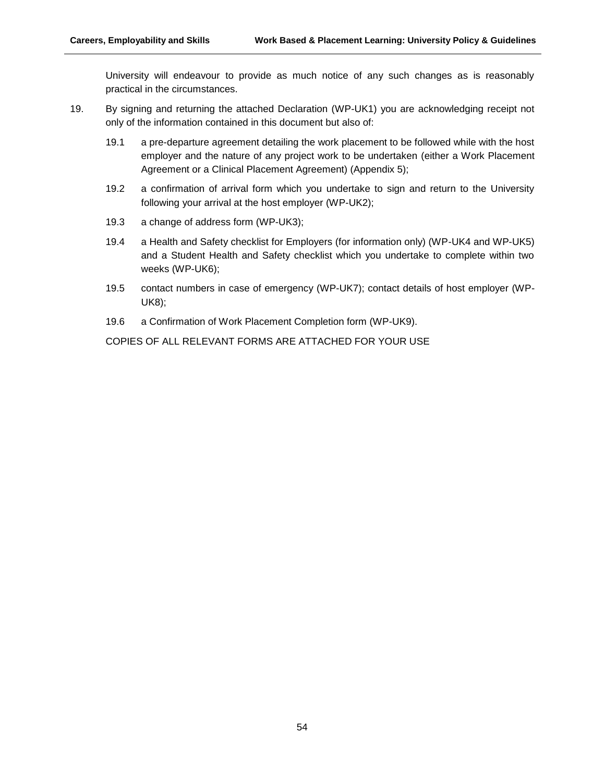University will endeavour to provide as much notice of any such changes as is reasonably practical in the circumstances.

- 19. By signing and returning the attached Declaration (WP-UK1) you are acknowledging receipt not only of the information contained in this document but also of:
	- 19.1 a pre-departure agreement detailing the work placement to be followed while with the host employer and the nature of any project work to be undertaken (either a Work Placement Agreement or a Clinical Placement Agreement) (Appendix 5);
	- 19.2 a confirmation of arrival form which you undertake to sign and return to the University following your arrival at the host employer (WP-UK2);
	- 19.3 a change of address form (WP-UK3);
	- 19.4 a Health and Safety checklist for Employers (for information only) (WP-UK4 and WP-UK5) and a Student Health and Safety checklist which you undertake to complete within two weeks (WP-UK6);
	- 19.5 contact numbers in case of emergency (WP-UK7); contact details of host employer (WP-UK8);
	- 19.6 a Confirmation of Work Placement Completion form (WP-UK9).

COPIES OF ALL RELEVANT FORMS ARE ATTACHED FOR YOUR USE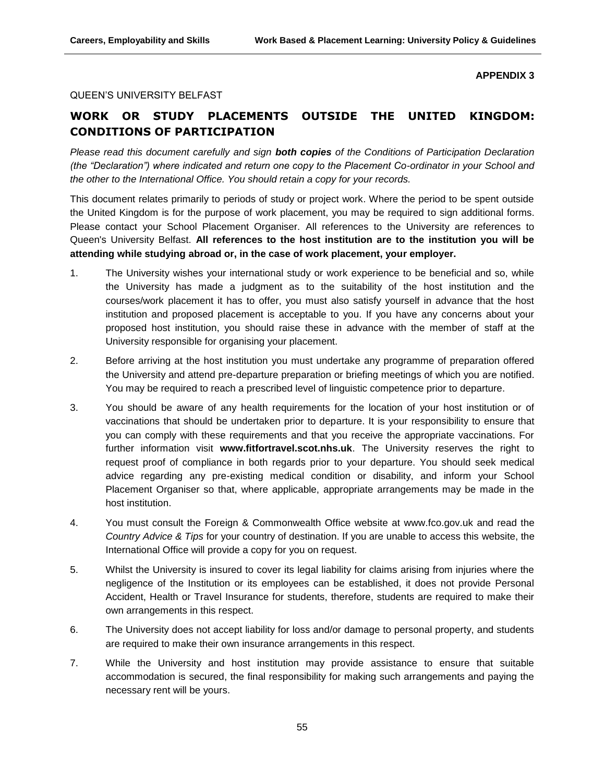#### **APPENDIX 3**

#### QUEEN'S UNIVERSITY BELFAST

# **WORK OR STUDY PLACEMENTS OUTSIDE THE UNITED KINGDOM: CONDITIONS OF PARTICIPATION**

*Please read this document carefully and sign both copies of the Conditions of Participation Declaration (the "Declaration") where indicated and return one copy to the Placement Co-ordinator in your School and the other to the International Office. You should retain a copy for your records.*

This document relates primarily to periods of study or project work. Where the period to be spent outside the United Kingdom is for the purpose of work placement, you may be required to sign additional forms. Please contact your School Placement Organiser. All references to the University are references to Queen's University Belfast. **All references to the host institution are to the institution you will be attending while studying abroad or, in the case of work placement, your employer.**

- 1. The University wishes your international study or work experience to be beneficial and so, while the University has made a judgment as to the suitability of the host institution and the courses/work placement it has to offer, you must also satisfy yourself in advance that the host institution and proposed placement is acceptable to you. If you have any concerns about your proposed host institution, you should raise these in advance with the member of staff at the University responsible for organising your placement.
- 2. Before arriving at the host institution you must undertake any programme of preparation offered the University and attend pre-departure preparation or briefing meetings of which you are notified. You may be required to reach a prescribed level of linguistic competence prior to departure.
- 3. You should be aware of any health requirements for the location of your host institution or of vaccinations that should be undertaken prior to departure. It is your responsibility to ensure that you can comply with these requirements and that you receive the appropriate vaccinations. For further information visit **www.fitfortravel.scot.nhs.uk**. The University reserves the right to request proof of compliance in both regards prior to your departure. You should seek medical advice regarding any pre-existing medical condition or disability, and inform your School Placement Organiser so that, where applicable, appropriate arrangements may be made in the host institution.
- 4. You must consult the Foreign & Commonwealth Office website at www.fco.gov.uk and read the *Country Advice & Tips* for your country of destination. If you are unable to access this website, the International Office will provide a copy for you on request.
- 5. Whilst the University is insured to cover its legal liability for claims arising from injuries where the negligence of the Institution or its employees can be established, it does not provide Personal Accident, Health or Travel Insurance for students, therefore, students are required to make their own arrangements in this respect.
- 6. The University does not accept liability for loss and/or damage to personal property, and students are required to make their own insurance arrangements in this respect.
- 7. While the University and host institution may provide assistance to ensure that suitable accommodation is secured, the final responsibility for making such arrangements and paying the necessary rent will be yours.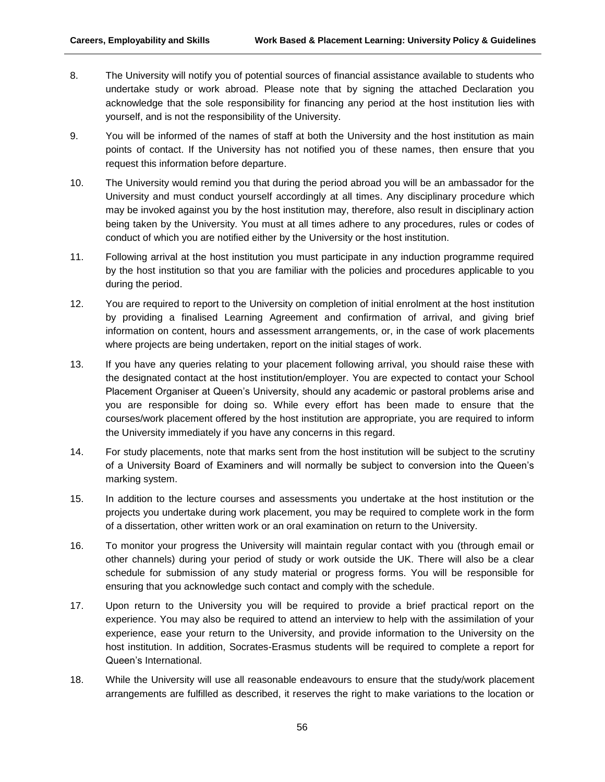- 8. The University will notify you of potential sources of financial assistance available to students who undertake study or work abroad. Please note that by signing the attached Declaration you acknowledge that the sole responsibility for financing any period at the host institution lies with yourself, and is not the responsibility of the University.
- 9. You will be informed of the names of staff at both the University and the host institution as main points of contact. If the University has not notified you of these names, then ensure that you request this information before departure.
- 10. The University would remind you that during the period abroad you will be an ambassador for the University and must conduct yourself accordingly at all times. Any disciplinary procedure which may be invoked against you by the host institution may, therefore, also result in disciplinary action being taken by the University. You must at all times adhere to any procedures, rules or codes of conduct of which you are notified either by the University or the host institution.
- 11. Following arrival at the host institution you must participate in any induction programme required by the host institution so that you are familiar with the policies and procedures applicable to you during the period.
- 12. You are required to report to the University on completion of initial enrolment at the host institution by providing a finalised Learning Agreement and confirmation of arrival, and giving brief information on content, hours and assessment arrangements, or, in the case of work placements where projects are being undertaken, report on the initial stages of work.
- 13. If you have any queries relating to your placement following arrival, you should raise these with the designated contact at the host institution/employer. You are expected to contact your School Placement Organiser at Queen's University, should any academic or pastoral problems arise and you are responsible for doing so. While every effort has been made to ensure that the courses/work placement offered by the host institution are appropriate, you are required to inform the University immediately if you have any concerns in this regard.
- 14. For study placements, note that marks sent from the host institution will be subject to the scrutiny of a University Board of Examiners and will normally be subject to conversion into the Queen's marking system.
- 15. In addition to the lecture courses and assessments you undertake at the host institution or the projects you undertake during work placement, you may be required to complete work in the form of a dissertation, other written work or an oral examination on return to the University.
- 16. To monitor your progress the University will maintain regular contact with you (through email or other channels) during your period of study or work outside the UK. There will also be a clear schedule for submission of any study material or progress forms. You will be responsible for ensuring that you acknowledge such contact and comply with the schedule.
- 17. Upon return to the University you will be required to provide a brief practical report on the experience. You may also be required to attend an interview to help with the assimilation of your experience, ease your return to the University, and provide information to the University on the host institution. In addition, Socrates-Erasmus students will be required to complete a report for Queen's International.
- 18. While the University will use all reasonable endeavours to ensure that the study/work placement arrangements are fulfilled as described, it reserves the right to make variations to the location or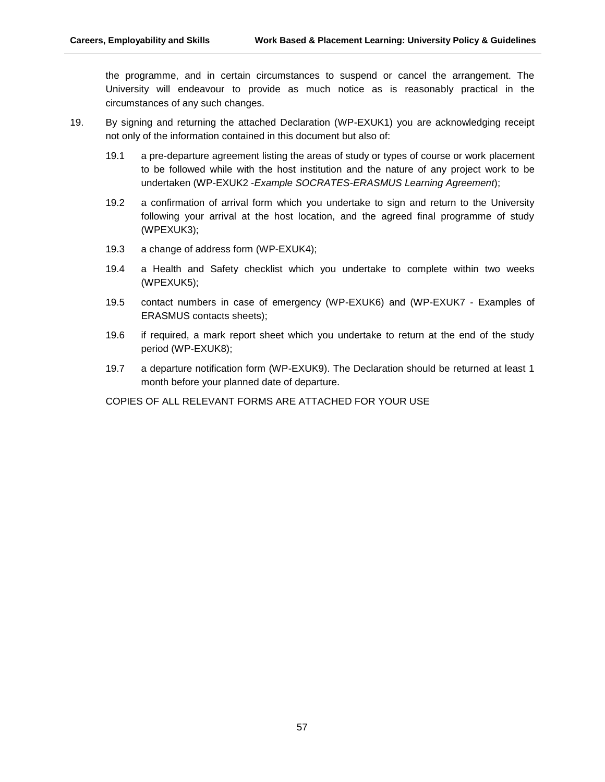the programme, and in certain circumstances to suspend or cancel the arrangement. The University will endeavour to provide as much notice as is reasonably practical in the circumstances of any such changes.

- 19. By signing and returning the attached Declaration (WP-EXUK1) you are acknowledging receipt not only of the information contained in this document but also of:
	- 19.1 a pre-departure agreement listing the areas of study or types of course or work placement to be followed while with the host institution and the nature of any project work to be undertaken (WP-EXUK2 -*Example SOCRATES-ERASMUS Learning Agreement*);
	- 19.2 a confirmation of arrival form which you undertake to sign and return to the University following your arrival at the host location, and the agreed final programme of study (WPEXUK3);
	- 19.3 a change of address form (WP-EXUK4);
	- 19.4 a Health and Safety checklist which you undertake to complete within two weeks (WPEXUK5);
	- 19.5 contact numbers in case of emergency (WP-EXUK6) and (WP-EXUK7 Examples of ERASMUS contacts sheets);
	- 19.6 if required, a mark report sheet which you undertake to return at the end of the study period (WP-EXUK8);
	- 19.7 a departure notification form (WP-EXUK9). The Declaration should be returned at least 1 month before your planned date of departure.

COPIES OF ALL RELEVANT FORMS ARE ATTACHED FOR YOUR USE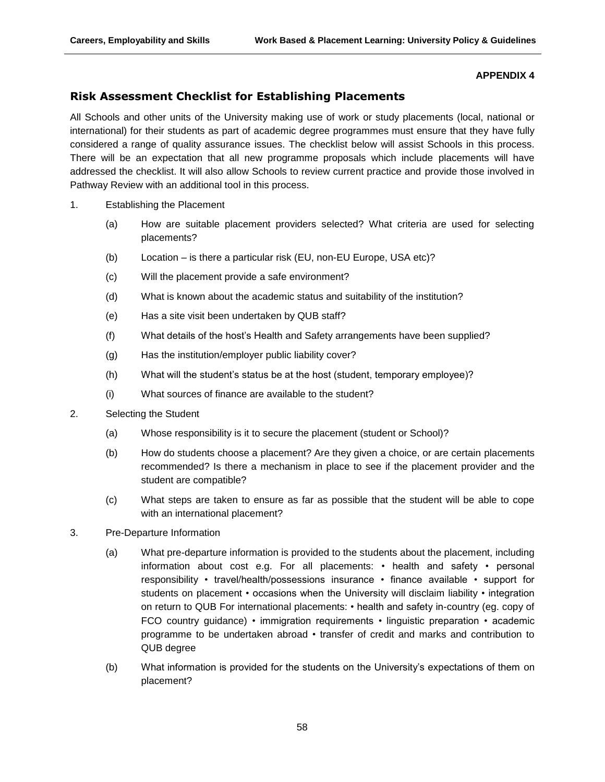#### **APPENDIX 4**

# **Risk Assessment Checklist for Establishing Placements**

All Schools and other units of the University making use of work or study placements (local, national or international) for their students as part of academic degree programmes must ensure that they have fully considered a range of quality assurance issues. The checklist below will assist Schools in this process. There will be an expectation that all new programme proposals which include placements will have addressed the checklist. It will also allow Schools to review current practice and provide those involved in Pathway Review with an additional tool in this process.

- 1. Establishing the Placement
	- (a) How are suitable placement providers selected? What criteria are used for selecting placements?
	- (b) Location is there a particular risk (EU, non-EU Europe, USA etc)?
	- (c) Will the placement provide a safe environment?
	- (d) What is known about the academic status and suitability of the institution?
	- (e) Has a site visit been undertaken by QUB staff?
	- (f) What details of the host's Health and Safety arrangements have been supplied?
	- (g) Has the institution/employer public liability cover?
	- (h) What will the student's status be at the host (student, temporary employee)?
	- (i) What sources of finance are available to the student?
- 2. Selecting the Student
	- (a) Whose responsibility is it to secure the placement (student or School)?
	- (b) How do students choose a placement? Are they given a choice, or are certain placements recommended? Is there a mechanism in place to see if the placement provider and the student are compatible?
	- (c) What steps are taken to ensure as far as possible that the student will be able to cope with an international placement?
- 3. Pre-Departure Information
	- (a) What pre-departure information is provided to the students about the placement, including information about cost e.g. For all placements: • health and safety • personal responsibility • travel/health/possessions insurance • finance available • support for students on placement • occasions when the University will disclaim liability • integration on return to QUB For international placements: • health and safety in-country (eg. copy of FCO country guidance) • immigration requirements • linguistic preparation • academic programme to be undertaken abroad • transfer of credit and marks and contribution to QUB degree
	- (b) What information is provided for the students on the University's expectations of them on placement?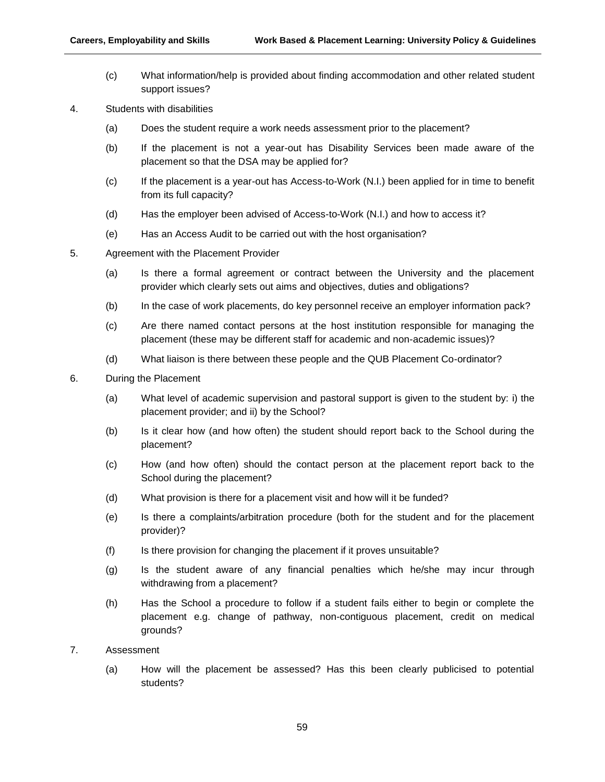- (c) What information/help is provided about finding accommodation and other related student support issues?
- 4. Students with disabilities
	- (a) Does the student require a work needs assessment prior to the placement?
	- (b) If the placement is not a year-out has Disability Services been made aware of the placement so that the DSA may be applied for?
	- (c) If the placement is a year-out has Access-to-Work (N.I.) been applied for in time to benefit from its full capacity?
	- (d) Has the employer been advised of Access-to-Work (N.I.) and how to access it?
	- (e) Has an Access Audit to be carried out with the host organisation?
- 5. Agreement with the Placement Provider
	- (a) Is there a formal agreement or contract between the University and the placement provider which clearly sets out aims and objectives, duties and obligations?
	- (b) In the case of work placements, do key personnel receive an employer information pack?
	- (c) Are there named contact persons at the host institution responsible for managing the placement (these may be different staff for academic and non-academic issues)?
	- (d) What liaison is there between these people and the QUB Placement Co-ordinator?
- 6. During the Placement
	- (a) What level of academic supervision and pastoral support is given to the student by: i) the placement provider; and ii) by the School?
	- (b) Is it clear how (and how often) the student should report back to the School during the placement?
	- (c) How (and how often) should the contact person at the placement report back to the School during the placement?
	- (d) What provision is there for a placement visit and how will it be funded?
	- (e) Is there a complaints/arbitration procedure (both for the student and for the placement provider)?
	- (f) Is there provision for changing the placement if it proves unsuitable?
	- (g) Is the student aware of any financial penalties which he/she may incur through withdrawing from a placement?
	- (h) Has the School a procedure to follow if a student fails either to begin or complete the placement e.g. change of pathway, non-contiguous placement, credit on medical grounds?
- 7. Assessment
	- (a) How will the placement be assessed? Has this been clearly publicised to potential students?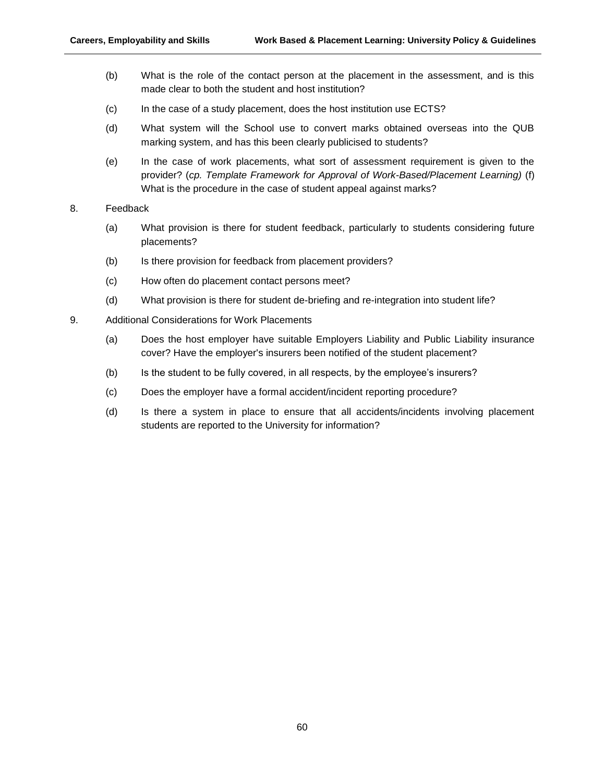- (b) What is the role of the contact person at the placement in the assessment, and is this made clear to both the student and host institution?
- (c) In the case of a study placement, does the host institution use ECTS?
- (d) What system will the School use to convert marks obtained overseas into the QUB marking system, and has this been clearly publicised to students?
- (e) In the case of work placements, what sort of assessment requirement is given to the provider? (*cp. Template Framework for Approval of Work-Based/Placement Learning)* (f) What is the procedure in the case of student appeal against marks?

#### 8. Feedback

- (a) What provision is there for student feedback, particularly to students considering future placements?
- (b) Is there provision for feedback from placement providers?
- (c) How often do placement contact persons meet?
- (d) What provision is there for student de-briefing and re-integration into student life?
- 9. Additional Considerations for Work Placements
	- (a) Does the host employer have suitable Employers Liability and Public Liability insurance cover? Have the employer's insurers been notified of the student placement?
	- (b) Is the student to be fully covered, in all respects, by the employee's insurers?
	- (c) Does the employer have a formal accident/incident reporting procedure?
	- (d) Is there a system in place to ensure that all accidents/incidents involving placement students are reported to the University for information?